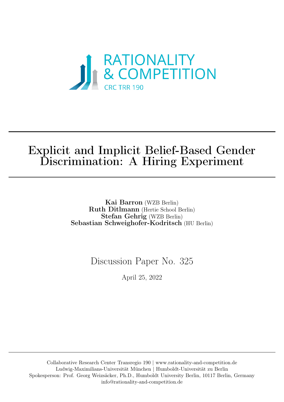

# Explicit and Implicit Belief-Based Gender Discrimination: A Hiring Experiment

Kai Barron (WZB Berlin) Ruth Ditlmann (Hertie School Berlin) Stefan Gehrig (WZB Berlin) Sebastian Schweighofer-Kodritsch (HU Berlin)

Discussion Paper No. 325

April 25, 2022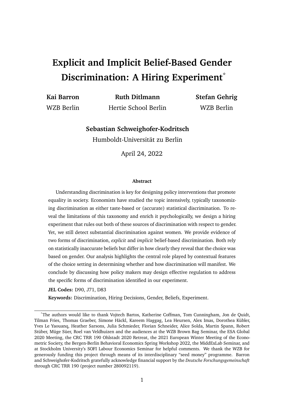# **Explicit and Implicit Belief-Based Gender Discrimination: A Hiring Experiment**\*

**Kai Barron Ruth Ditlmann Stefan Gehrig**

WZB Berlin Hertie School Berlin WZB Berlin

**Sebastian Schweighofer-Kodritsch**

Humboldt-Universität zu Berlin

April 24, 2022

#### **Abstract**

Understanding discrimination is key for designing policy interventions that promote equality in society. Economists have studied the topic intensively, typically taxonomizing discrimination as either taste-based or (accurate) statistical discrimination. To reveal the limitations of this taxonomy and enrich it psychologically, we design a hiring experiment that rules out both of these sources of discrimination with respect to gender. Yet, we still detect substantial discrimination against women. We provide evidence of two forms of discrimination, *explicit* and *implicit* belief-based discrimination. Both rely on statistically inaccurate beliefs but differ in how clearly they reveal that the choice was based on gender. Our analysis highlights the central role played by contextual features of the choice setting in determining whether and how discrimination will manifest. We conclude by discussing how policy makers may design effective regulation to address the specific forms of discrimination identified in our experiment.

**JEL Codes:** D90, J71, D83

**Keywords:** Discrimination, Hiring Decisions, Gender, Beliefs, Experiment.

<sup>\*</sup>The authors would like to thank Vojtech Bartos, Katherine Coffman, Tom Cunningham, Jon de Quidt, Tilman Fries, Thomas Graeber, Simone Häckl, Kareem Haggag, Lea Heursen, Alex Imas, Dorothea Kübler, Yves Le Yaouanq, Heather Sarsons, Julia Schmieder, Florian Schneider, Alice Solda, Martin Spann, Robert Stüber, Müge Süer, Roel van Veldhuizen and the audiences at the WZB Brown Bag Seminar, the ESA Global 2020 Meeting, the CRC TRR 190 Ohlstadt 2020 Retreat, the 2021 European Winter Meeting of the Econometric Society, the Bergen-Berlin Behavioral Economics Spring Workshop 2022, the MiddExLab Seminar, and at Stockholm University's SOFI Labour Economics Seminar for helpful comments. We thank the WZB for generously funding this project through means of its interdisciplinary "seed money" programme. Barron and Schweighofer-Kodritsch gratefully acknowledge financial support by the *Deutsche Forschungsgemeinschaft* through CRC TRR 190 (project number 280092119).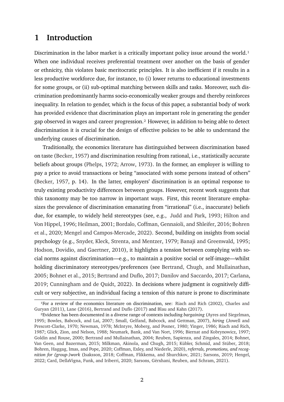## **1 Introduction**

Discrimination in the labor market is a critically important policy issue around the world.<sup>1</sup> When one individual receives preferential treatment over another on the basis of gender or ethnicity, this violates basic meritocratic principles. It is also inefficient if it results in a less productive workforce due, for instance, to (i) lower returns to educational investments for some groups, or (ii) sub-optimal matching between skills and tasks. Moreover, such discrimination predominantly harms socio-economically weaker groups and thereby reinforces inequality. In relation to gender, which is the focus of this paper, a substantial body of work has provided evidence that discrimination plays an important role in generating the gender gap observed in wages and career progression[.2](#page-2-1) However, in addition to being able to detect discrimination it is crucial for the design of effective policies to be able to understand the underlying causes of discrimination.

Traditionally, the economics literature has distinguished between discrimination based on taste [\(Becker,](#page-35-0) [1957\)](#page-35-0) and discrimination resulting from rational, i.e., statistically accurate beliefs about groups [\(Phelps,](#page-39-0) [1972;](#page-39-0) [Arrow,](#page-35-1) [1973\)](#page-35-1). In the former, an employer is willing to pay a price to avoid transactions or being "associated with some persons instead of others" [\(Becker,](#page-35-0) [1957,](#page-35-0) p. 14). In the latter, employers' discrimination is an optimal response to truly existing productivity differences between groups. However, recent work suggests that this taxonomy may be too narrow in important ways. First, this recent literature emphasizes the prevalence of discrimination emanating from "irrational" (i.e., inaccurate) beliefs due, for example, to widely held stereotypes (see, e.g., [Judd and Park,](#page-38-0) [1993;](#page-38-0) [Hilton and](#page-38-1) [Von Hippel,](#page-38-1) [1996;](#page-38-1) [Heilman,](#page-38-2) [2001;](#page-38-2) [Bordalo, Coffman, Gennaioli, and Shleifer,](#page-36-0) [2016;](#page-36-0) [Bohren](#page-35-2) [et al.,](#page-35-2) [2020;](#page-35-2) [Mengel and Campos-Mercade,](#page-39-1) [2022\)](#page-39-1). Second, building on insights from social psychology (e.g., [Snyder, Kleck, Strenta, and Mentzer,](#page-40-0) [1979;](#page-40-0) [Banaji and Greenwald,](#page-35-3) [1995;](#page-35-3) [Hodson, Dovidio, and Gaertner,](#page-38-3) [2010\)](#page-38-3), it highlights a tension between complying with social norms against discrimination—e.g., to maintain a positive social or self-image—whilst holding discriminatory stereotypes/preferences (see [Bertrand, Chugh, and Mullainathan,](#page-35-4) [2005;](#page-35-4) [Bohnet et al.,](#page-35-5) [2015;](#page-35-5) [Bertrand and Duflo,](#page-35-6) [2017;](#page-35-6) [Danilov and Saccardo,](#page-37-0) [2017;](#page-37-0) [Carlana,](#page-36-1) [2019;](#page-36-1) [Cunningham and de Quidt,](#page-37-1) [2022\)](#page-37-1). In decisions where judgment is cognitively difficult or very subjective, an individual facing a tension of this nature is prone to discriminate

<span id="page-2-0"></span><sup>1</sup>For a review of the economics literature on discrimination, see: [Riach and Rich](#page-39-2) [\(2002\)](#page-39-2), [Charles and](#page-36-2) [Guryan](#page-36-2) [\(2011\)](#page-36-2), [Lane](#page-39-3) [\(2016\)](#page-39-3), [Bertrand and Duflo](#page-35-6) [\(2017\)](#page-35-6) and [Blau and Kahn](#page-35-7) [\(2017\)](#page-35-7).

<span id="page-2-1"></span><sup>2</sup>Evidence has been documented in a diverse range of contexts including *bargaining* [\(Ayres and Siegelman,](#page-35-8) [1995;](#page-35-8) [Bowles, Babcock, and Lai,](#page-36-3) [2007;](#page-36-3) [Small, Gelfand, Babcock, and Gettman,](#page-40-1) [2007\)](#page-40-1), *hiring* [\(Jowell and](#page-38-4) [Prescott-Clarke,](#page-38-4) [1970;](#page-38-4) [Newman,](#page-39-4) [1978;](#page-39-4) [McIntyre, Moberg, and Posner,](#page-39-5) [1980;](#page-39-5) [Yinger,](#page-40-2) [1986;](#page-40-2) [Riach and Rich,](#page-39-6) [1987;](#page-39-6) [Glick, Zion, and Nelson,](#page-37-2) [1988;](#page-37-2) [Neumark, Bank, and Van Nort,](#page-39-7) [1996;](#page-39-7) [Biernat and Kobrynowicz,](#page-35-9) [1997;](#page-35-9) [Goldin and Rouse,](#page-37-3) [2000;](#page-37-3) [Bertrand and Mullainathan,](#page-35-10) [2004;](#page-35-10) [Reuben, Sapienza, and Zingales,](#page-39-8) [2014;](#page-39-8) [Bohnet,](#page-35-5) [Van Geen, and Bazerman,](#page-35-5) [2015;](#page-35-5) [Milkman, Akinola, and Chugh,](#page-39-9) [2015;](#page-39-9) [Kübler, Schmid, and Stüber,](#page-38-5) [2018;](#page-38-5) [Bohren, Haggag, Imas, and Pope,](#page-35-2) [2020;](#page-35-2) [Coffman, Exley, and Niederle,](#page-36-4) [2020\)](#page-36-4), *referrals, promotions, and recognition for (group-)work* [\(Isaksson,](#page-38-6) [2018;](#page-38-6) [Coffman, Flikkema, and Shurchkov,](#page-37-4) [2021;](#page-37-4) [Sarsons,](#page-39-10) [2019;](#page-39-10) [Hengel,](#page-38-7) [2022;](#page-38-7) [Card, DellaVigna, Funk, and Iriberri,](#page-36-5) [2020;](#page-36-5) [Sarsons, Gërxhani, Reuben, and Schram,](#page-40-3) [2021\)](#page-40-3).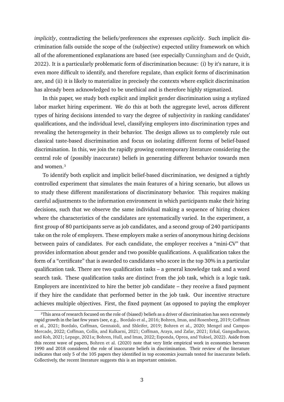*implicitly*, contradicting the beliefs/preferences she expresses *explicitly*. Such implicit discrimination falls outside the scope of the (subjective) expected utility framework on which all of the aforementioned explanations are based (see especially [Cunningham and de Quidt,](#page-37-1) [2022\)](#page-37-1). It is a particularly problematic form of discrimination because: (i) by it's nature, it is even more difficult to identify, and therefore regulate, than explicit forms of discrimination are, and (ii) it is likely to materialize in precisely the contexts where explicit discrimination has already been acknowledged to be unethical and is therefore highly stigmatized.

In this paper, we study both explicit and implicit gender discrimination using a stylized labor market hiring experiment. We do this at both the aggregate level, across different types of hiring decisions intended to vary the degree of subjectivity in ranking candidates' qualifications, and the individual level, classifying employers into discrimination types and revealing the heterogeneity in their behavior. The design allows us to completely rule out classical taste-based discrimination and focus on isolating different forms of belief-based discrimination. In this, we join the rapidly growing contemporary literature considering the central role of (possibly inaccurate) beliefs in generating different behavior towards men and women[.3](#page-3-0)

To identify both explicit and implicit belief-based discrimination, we designed a tightly controlled experiment that simulates the main features of a hiring scenario, but allows us to study these different manifestations of discriminatory behavior. This requires making careful adjustments to the information environment in which participants make their hiring decisions, such that we observe the same individual making a sequence of hiring choices where the characteristics of the candidates are systematically varied. In the experiment, a first group of 80 participants serve as job candidates, and a second group of 240 participants take on the role of employers. These employers make a series of anonymous hiring decisions between pairs of candidates. For each candidate, the employer receives a "mini-CV" that provides information about gender and two possible qualifications. A qualification takes the form of a "certificate" that is awarded to candidates who score in the top 30% in a particular qualification task. There are two qualification tasks – a general knowledge task and a word search task. These qualification tasks are distinct from the job task, which is a logic task. Employers are incentivized to hire the better job candidate – they receive a fixed payment if they hire the candidate that performed better in the job task. Our incentive structure achieves multiple objectives. First, the fixed payment (as opposed to paying the employer

<span id="page-3-0"></span><sup>3</sup>This area of research focused on the role of (biased) beliefs as a driver of discrimination has seen extremely rapid growth in the last few years (see, e.g., [Bordalo et al.,](#page-36-0) [2016;](#page-36-0) [Bohren, Imas, and Rosenberg,](#page-36-6) [2019;](#page-36-6) [Coffman](#page-37-4) [et al.,](#page-37-4) [2021;](#page-37-4) [Bordalo, Coffman, Gennaioli, and Shleifer,](#page-36-7) [2019;](#page-36-7) [Bohren et al.,](#page-35-2) [2020;](#page-35-2) [Mengel and Campos-](#page-39-1)[Mercade,](#page-39-1) [2022;](#page-39-1) [Coffman, Collis, and Kulkarni,](#page-36-8) [2021;](#page-36-8) [Coffman, Araya, and Zafar,](#page-36-9) [2021;](#page-36-9) [Erkal, Gangadharan,](#page-37-5) [and Koh,](#page-37-5) [2021;](#page-37-5) [Lepage,](#page-39-11) [2021a;](#page-39-11) [Bohren, Hull, and Imas,](#page-36-10) [2022;](#page-36-10) [Esponda, Oprea, and Yuksel,](#page-37-6) [2022\)](#page-37-6). Aside from this recent wave of papers, [Bohren et al.](#page-35-2) [\(2020\)](#page-35-2) note that very little empirical work in economics between 1990 and 2018 considered the role of inaccurate beliefs in discrimination. Their review of the literature indicates that only 5 of the 105 papers they identified in top economics journals tested for inaccurate beliefs. Collectively, the recent literature suggests this is an important omission.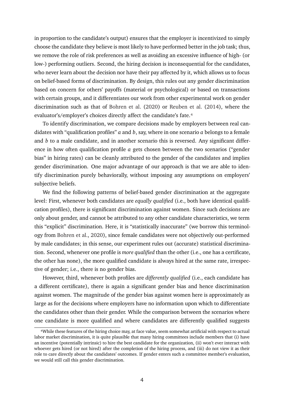in proportion to the candidate's output) ensures that the employer is incentivized to simply choose the candidate they believe is most likely to have performed better in the job task; thus, we remove the role of risk preferences as well as avoiding an excessive influence of high- (or low-) performing outliers. Second, the hiring decision is inconsequential for the candidates, who never learn about the decision nor have their pay affected by it, which allows us to focus on belief-based forms of discrimination. By design, this rules out any gender discrimination based on concern for others' payoffs (material or psychological) or based on transactions with certain groups, and it differentiates our work from other experimental work on gender discrimination such as that of [Bohren et al.](#page-35-2) [\(2020\)](#page-35-2) or [Reuben et al.](#page-39-8) [\(2014\)](#page-39-8), where the evaluator's/employer's choices directly affect the candidate's fate.<sup>4</sup>

To identify discrimination, we compare decisions made by employers between real candidates with "qualification profiles" *a* and *b*, say, where in one scenario *a* belongs to a female and *b* to a male candidate, and in another scenario this is reversed. Any significant difference in how often qualification profile *a* gets chosen between the two scenarios ("gender bias" in hiring rates) can be cleanly attributed to the gender of the candidates and implies gender discrimination. One major advantage of our approach is that we are able to identify discrimination purely behaviorally, without imposing any assumptions on employers' subjective beliefs.

We find the following patterns of belief-based gender discrimination at the aggregate level: First, whenever both candidates are *equally qualified* (i.e., both have identical qualification profiles), there is significant discrimination against women. Since such decisions are only about gender, and cannot be attributed to any other candidate characteristics, we term this "explicit" discrimination. Here, it is "statistically inaccurate" (we borrow this terminology from [Bohren et al.,](#page-35-2) [2020\)](#page-35-2), since female candidates were not objectively out-performed by male candidates; in this sense, our experiment rules out (accurate) statistical discrimination. Second, whenever one profile is *more qualified* than the other (i.e., one has a certificate, the other has none), the more qualified candidate is always hired at the same rate, irrespective of gender; i.e., there is no gender bias.

However, third, whenever both profiles are *differently qualified* (i.e., each candidate has a different certificate), there is again a significant gender bias and hence discrimination against women. The magnitude of the gender bias against women here is approximately as large as for the decisions where employers have no information upon which to differentiate the candidates other than their gender. While the comparison between the scenarios where one candidate is more qualified and where candidates are differently qualified suggests

<span id="page-4-0"></span>⁴While these features of the hiring choice may, at face value, seem somewhat artificial with respect to actual labor market discrimination, it is quite plausible that many hiring committees include members that (i) have an incentive (potentially intrinsic) to hire the best candidate for the organization, (ii) won't ever interact with whoever gets hired (or not hired) after the completion of the hiring process, and (iii) do not view it as their role to care directly about the candidates' outcomes. If gender enters such a committee member's evaluation, we would still call this gender discrimination.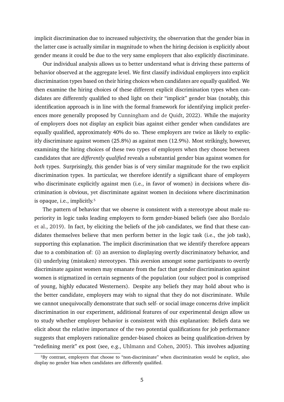implicit discrimination due to increased subjectivity, the observation that the gender bias in the latter case is actually similar in magnitude to when the hiring decision is explicitly about gender means it could be due to the very same employers that also explicitly discriminate.

Our individual analysis allows us to better understand what is driving these patterns of behavior observed at the aggregate level. We first classify individual employers into explicit discrimination types based on their hiring choices when candidates are equally qualified. We then examine the hiring choices of these different explicit discrimination types when candidates are differently qualified to shed light on their "implicit" gender bias (notably, this identification approach is in line with the formal framework for identifying implicit preferences more generally proposed by [Cunningham and de Quidt,](#page-37-1) [2022\)](#page-37-1). While the majority of employers does not display an explicit bias against either gender when candidates are equally qualified, approximately 40% do so. These employers are twice as likely to explicitly discriminate against women (25.8%) as against men (12.9%). Most strikingly, however, examining the hiring choices of these two types of employers when they choose between candidates that are *differently qualified* reveals a substantial gender bias against women for *both* types. Surprisingly, this gender bias is of very similar magnitude for the two explicit discrimination types. In particular, we therefore identify a significant share of employers who discriminate explicitly against men (i.e., in favor of women) in decisions where discrimination is obvious, yet discriminate against women in decisions where discrimination is opaque, i.e., implicitly.<sup>5</sup>

The pattern of behavior that we observe is consistent with a stereotype about male superiority in logic tasks leading employers to form gender-biased beliefs (see also [Bordalo](#page-36-7) [et al.,](#page-36-7) [2019\)](#page-36-7). In fact, by eliciting the beliefs of the job candidates, we find that these candidates themselves believe that men perform better in the logic task (i.e., the job task), supporting this explanation. The implicit discrimination that we identify therefore appears due to a combination of: (i) an aversion to displaying overtly discriminatory behavior, and (ii) underlying (mistaken) stereotypes. This aversion amongst some participants to overtly discriminate against women may emanate from the fact that gender discrimination against women is stigmatized in certain segments of the population (our subject pool is comprised of young, highly educated Westerners). Despite any beliefs they may hold about who is the better candidate, employers may wish to signal that they do not discriminate. While we cannot unequivocally demonstrate that such self- or social image concerns drive implicit discrimination in our experiment, additional features of our experimental design allow us to study whether employer behavior is consistent with this explanation: Beliefs data we elicit about the relative importance of the two potential qualifications for job performance suggests that employers rationalize gender-biased choices as being qualification-driven by "redefining merit" ex post (see, e.g., [Uhlmann and Cohen,](#page-40-4) [2005\)](#page-40-4). This involves adjusting

<span id="page-5-0"></span><sup>&</sup>lt;sup>5</sup>By contrast, employers that choose to "non-discriminate" when discrimination would be explicit, also display no gender bias when candidates are differently qualified.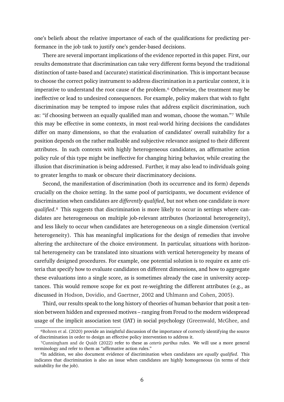one's beliefs about the relative importance of each of the qualifications for predicting performance in the job task to justify one's gender-based decisions.

There are several important implications of the evidence reported in this paper. First, our results demonstrate that discrimination can take very different forms beyond the traditional distinction of taste-based and (accurate) statistical discrimination. This is important because to choose the correct policy instrument to address discrimination in a particular context, it is imperative to understand the root cause of the problem.<sup>6</sup> Otherwise, the treatment may be ineffective or lead to undesired consequences. For example, policy makers that wish to fight discrimination may be tempted to impose rules that address explicit discrimination, such as: "if choosing between an equally qualified man and woman, choose the woman."7 While this may be effective in some contexts, in most real-world hiring decisions the candidates differ on many dimensions, so that the evaluation of candidates' overall suitability for a position depends on the rather malleable and subjective relevance assigned to their different attributes. In such contexts with highly heterogeneous candidates, an affirmative action policy rule of this type might be ineffective for changing hiring behavior, while creating the illusion that discrimination is being addressed. Further, it may also lead to individuals going to greater lengths to mask or obscure their discriminatory decisions.

Second, the manifestation of discrimination (both its occurrence and its form) depends crucially on the choice setting. In the same pool of participants, we document evidence of discrimination when candidates are *differently qualified*, but not when one candidate is *more qualified*.<sup>8</sup> This suggests that discrimination is more likely to occur in settings where candidates are heterogeneous on multiple job-relevant attributes (horizontal heterogeneity), and less likely to occur when candidates are heterogeneous on a single dimension (vertical heterogeneity). This has meaningful implications for the design of remedies that involve altering the architecture of the choice environment. In particular, situations with horizontal heterogeneity can be translated into situations with vertical heterogeneity by means of carefully designed procedures. For example, one potential solution is to require ex ante criteria that specify how to evaluate candidates on different dimensions, and how to aggregate these evaluations into a single score, as is sometimes already the case in university acceptances. This would remove scope for ex post re-weighting the different attributes (e.g., as discussed in [Hodson, Dovidio, and Gaertner,](#page-38-8) [2002](#page-38-8) and [Uhlmann and Cohen,](#page-40-4) [2005\)](#page-40-4).

Third, our results speak to the long history of theories of human behavior that posit a tension between hidden and expressed motives – ranging from Freud to the modern widespread usage of the implicit association test (IAT) in social psychology [\(Greenwald, McGhee, and](#page-38-9)

<span id="page-6-0"></span><sup>&</sup>lt;sup>6</sup>Bohren et al. [\(2020\) provide an insightful discussion of the importance of correctly identifying the source](#page-38-9) [of discrimination in order to design an effective policy intervention to address it.](#page-38-9)

<span id="page-6-1"></span>[⁷Cunningham and de Quidt](#page-37-1) [\(2022\)](#page-37-1) refer to these as *ceteris paribus* [rules. We will use a more general](#page-38-9) [terminology and refer to them as "affirmative action rules."](#page-38-9)

<span id="page-6-2"></span>[⁸In addition, we also document evidence of discrimination when candidates are](#page-38-9) *equally qualified*. This [indicates that discrimination is also an issue when candidates are highly homogeneous \(in terms of their](#page-38-9) [suitability for the job\).](#page-38-9)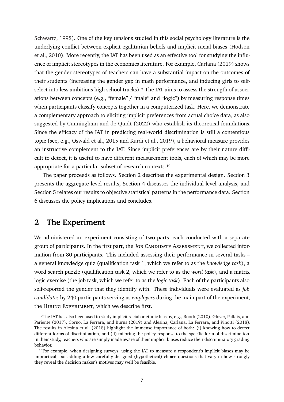[Schwartz,](#page-38-9) [1998\)](#page-38-9). One of the key tensions studied in this social psychology literature is the underlying conflict between explicit egalitarian beliefs and implicit racial biases [\(Hodson](#page-38-3) [et al.,](#page-38-3) [2010\)](#page-38-3). More recently, the IAT has been used as an effective tool for studying the influence of implicit stereotypes in the economics literature. For example, [Carlana](#page-36-1) [\(2019\)](#page-36-1) shows that the gender stereotypes of teachers can have a substantial impact on the outcomes of their students (increasing the gender gap in math performance, and inducing girls to selfselect into less ambitious high school tracks).<sup>9</sup> The IAT aims to assess the strength of associations between concepts (e.g., "female" / "male" and "logic") by measuring response times when participants classify concepts together in a computerized task. Here, we demonstrate a complementary approach to eliciting implicit preferences from actual choice data, as also suggested by [Cunningham and de Quidt](#page-37-1) [\(2022\)](#page-37-1) who establish its theoretical foundations. Since the efficacy of the IAT in predicting real-world discrimination is still a contentious topic (see, e.g., [Oswald et al.,](#page-39-12) [2015](#page-39-12) and [Kurdi et al.,](#page-38-10) [2019\)](#page-38-10), a behavioral measure provides an instructive complement to the IAT. Since implicit preferences are by their nature difficult to detect, it is useful to have different measurement tools, each of which may be more appropriate for a particular subset of research contexts.<sup>10</sup>

The paper proceeds as follows. Section 2 describes the experimental design. Section 3 presents the aggregate level results, Section 4 discusses the individual level analysis, and Section 5 relates our results to objective statistical patterns in the performance data. Section 6 discusses the policy implications and concludes.

## **2 The Experiment**

We administered an experiment consisting of two parts, each conducted with a separate group of participants. In the first part, the JOB CANDIDATE ASSESSMENT, we collected information from 80 participants. This included assessing their performance in several tasks – a general knowledge quiz (qualification task 1, which we refer to as the *knowledge task*), a word search puzzle (qualification task 2, which we refer to as the *word task*), and a matrix logic exercise (the job task, which we refer to as the *logic task*). Each of the participants also self-reported the gender that they identify with. These individuals were evaluated as *job candidates* by 240 participants serving as *employers* during the main part of the experiment, the Hiring Experiment, which we describe first.

<span id="page-7-0"></span>⁹The IAT has also been used to study implicit racial or ethnic bias by, e.g., [Rooth](#page-39-13) [\(2010\)](#page-39-13), [Glover, Pallais, and](#page-37-7) [Pariente](#page-37-7) [\(2017\)](#page-37-7), [Corno, La Ferrara, and Burns](#page-37-8) [\(2019\)](#page-37-8) and [Alesina, Carlana, La Ferrara, and Pinotti](#page-35-11) [\(2018\)](#page-35-11). The results in [Alesina et al.](#page-35-11) [\(2018\)](#page-35-11) highlight the immense importance of both: (i) knowing how to detect different forms of discrimination, and (ii) tailoring the policy response to the specific form of discrimination. In their study, teachers who are simply made aware of their implicit biases reduce their discriminatory grading behavior.

<span id="page-7-1"></span><sup>&</sup>lt;sup>10</sup>For example, when designing surveys, using the IAT to measure a respondent's implicit biases may be impractical, but adding a few carefully designed (hypothetical) choice questions that vary in how strongly they reveal the decision maker's motives may well be feasible.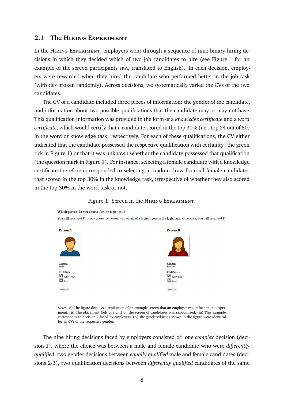#### **2.1 The Hiring Experiment**

In the Hiring Experiment, employers went through a sequence of nine binary hiring decisions in which they decided which of two job candidates to hire (see Figure [1](#page-8-0) for an example of the screen participants saw, translated to English). In each decision, employers were rewarded when they hired the candidate who performed better in the job task (with ties broken randomly). Across decisions, we systematically varied the CVs of the two candidates.

The CV of a candidate included three pieces of information: the gender of the candidate, and information about two possible qualifications that the candidate may or may not have. This qualification information was provided in the form of a *knowledge certificate* and a *word certificate*, which would certify that a candidate scored in the top 30% (i.e., top 24 out of 80) in the word or knowledge task, respectively. For each of these qualifications, the CV either indicated that the candidate possessed the respective qualification with certainty (the green tick in Figure [1\)](#page-8-0) or that it was unknown whether the candidate possessed that qualification (the question mark in Figure [1\)](#page-8-0). For instance, selecting a female candidate with a knowledge certificate therefore corresponded to selecting a random draw from all female candidates that scored in the top 30% in the knowledge task, irrespective of whether they also scored in the top 30% in the word task or not.



<span id="page-8-0"></span>

*Notes:* (i) The figure displays a replication of an example screen that an employer would face in the experiment, (ii) The placement (left or right) on the screen of candidates was randomized, (iii) This example corresponds to decision 2 faced by employers, (iv) the gendered icons shown in the figure were identical for all CVs of the respective gender.

The nine hiring decisions faced by employers consisted of: one *complex* decision (decision 1), where the choice was between a male and female candidate who were *differently qualified*, two gender decisions between *equally qualified* male and female candidates (decisions 2-3), two qualification decisions between *differently qualified* candidates of the same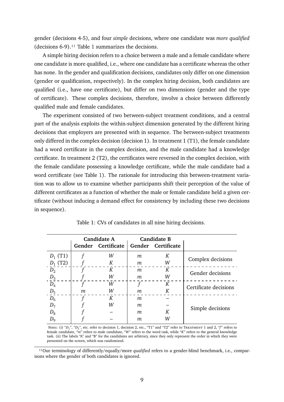gender (decisions 4-5), and four *simple* decisions, where one candidate was *more qualified* (decisions 6-9)[.11](#page-9-0) Table [1](#page-9-1) summarizes the decisions.

A simple hiring decision refers to a choice between a male and a female candidate where one candidate is more qualified, i.e., where one candidate has a certificate whereas the other has none. In the gender and qualification decisions, candidates only differ on one dimension (gender or qualification, respectively). In the complex hiring decision, both candidates are qualified (i.e., have one certificate), but differ on two dimensions (gender and the type of certificate). These complex decisions, therefore, involve a choice between differently qualified male and female candidates.

The experiment consisted of two between-subject treatment conditions, and a central part of the analysis exploits the within-subject dimension generated by the different hiring decisions that employers are presented with in sequence. The between-subject treatments only differed in the complex decision (decision 1). In treatment 1 (T1), the female candidate had a word certificate in the complex decision, and the male candidate had a knowledge certificate. In treatment 2 (T2), the certificates were reversed in the complex decision, with the female candidate possessing a knowledge certificate, while the male candidate had a word certificate (see Table [1\)](#page-9-1). The rationale for introducing this between-treatment variation was to allow us to examine whether participants shift their perception of the value of different certificates as a function of whether the male or female candidate held a given certificate (without inducing a demand effect for consistency by including these two decisions in sequence).

<span id="page-9-1"></span>

|            | <b>Candidate A</b> |                    | <b>Candidate B</b> |                    |                       |
|------------|--------------------|--------------------|--------------------|--------------------|-----------------------|
|            |                    | Gender Certificate |                    | Gender Certificate |                       |
| $D_1$ (T1) |                    | W                  | m                  | К                  | Complex decisions     |
| $D_1$ (T2) |                    | K                  | m                  | W                  |                       |
| $D_2$      |                    | K                  | m                  | К                  | Gender decisions      |
| $D_3$      |                    | W                  | m                  | W                  |                       |
| $D_4$      |                    | W                  | t                  | К                  | Certificate decisions |
| $D_5$      | m                  | W                  | m                  | К                  |                       |
| $D_6$      |                    | К                  | m                  |                    |                       |
| $D_7$      |                    | W                  | m                  |                    | Simple decisions      |
| $D_8$      |                    |                    | m                  | К                  |                       |
| $D_{9}$    |                    |                    | m                  | W                  |                       |

Table 1: CVs of candidates in all nine hiring decisions.

Notes: (i) "D<sub>1</sub>", "D<sub>2</sub>", etc. refer to decision 1, decision 2, etc., "T1" and "T2" refer to Treatment 1 and 2, "f" refers to female candidate, "*m*" refers to male candidate, "*W*" refers to the word task, while "*K*" refers to the general knowledge task. (ii) The labels "A" and "B" for the candidates are arbitrary, since they only represent the order in which they were presented on the screen, which was randomized.

<span id="page-9-0"></span><sup>11</sup>Our terminology of differently/equally/more *qualified* refers to a gender-blind benchmark, i.e., comparisons where the gender of both candidates is ignored.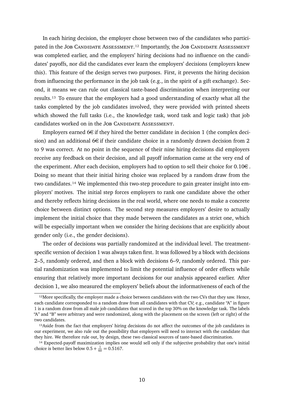In each hiring decision, the employer chose between two of the candidates who participated in the JOB CANDIDATE ASSESSMENT.<sup>12</sup> Importantly, the JOB CANDIDATE ASSESSMENT was completed earlier, and the employers' hiring decisions had no influence on the candidates' payoffs, nor did the candidates ever learn the employers' decisions (employers knew this). This feature of the design serves two purposes. First, it prevents the hiring decision from influencing the performance in the job task (e.g., in the spirit of a gift exchange). Second, it means we can rule out classical taste-based discrimination when interpreting our results[.13](#page-10-1) To ensure that the employers had a good understanding of exactly what all the tasks completed by the job candidates involved, they were provided with printed sheets which showed the full tasks (i.e., the knowledge task, word task and logic task) that job candidates worked on in the JOB CANDIDATE ASSESSMENT.

Employers earned  $6\in$  if they hired the better candidate in decision 1 (the complex decision) and an additional  $6\in$  if their candidate choice in a randomly drawn decision from 2 to 9 was correct. At no point in the sequence of their nine hiring decisions did employers receive any feedback on their decision, and all payoff information came at the very end of the experiment. After each decision, employers had to option to sell their choice for  $0.10 \in$ . Doing so meant that their initial hiring choice was replaced by a random draw from the two candidates.<sup>14</sup> We implemented this two-step procedure to gain greater insight into employers' motives. The initial step forces employers to rank one candidate above the other and thereby reflects hiring decisions in the real world, where one needs to make a concrete choice between distinct options. The second step measures employers' desire to actually implement the initial choice that they made between the candidates as a strict one, which will be especially important when we consider the hiring decisions that are explicitly about gender only (i.e., the gender decisions).

The order of decisions was partially randomized at the individual level. The treatmentspecific version of decision 1 was always taken first. It was followed by a block with decisions 2–5, randomly ordered, and then a block with decisions 6–9, randomly ordered. This partial randomization was implemented to limit the potential influence of order effects while ensuring that relatively more important decisions for our analysis appeared earlier. After decision 1, we also measured the employers' beliefs about the informativeness of each of the

<span id="page-10-0"></span><sup>&</sup>lt;sup>12</sup>More specifically, the employer made a choice between candidates with the two CVs that they saw. Hence, each candidate corresponded to a random draw from all candidates with that CV; e.g., candidate "A" in figure [1](#page-8-0) is a random draw from all male job candidates that scored in the top 30% on the knowledge task. The labels "A" and "B" were arbitrary and were randomized, along with the placement on the screen (left or right) of the two candidates.

<span id="page-10-1"></span><sup>&</sup>lt;sup>13</sup>Aside from the fact that employers' hiring decisions do not affect the outcomes of the job candidates in our experiment, we also rule out the possibility that employers will need to interact with the candidate that they hire. We therefore rule out, by design, these two classical sources of taste-based discrimination.

<span id="page-10-2"></span><sup>&</sup>lt;sup>14</sup> Expected-payoff maximization implies one would sell only if the subjective probability that one's initial choice is better lies below  $0.5 + \frac{1}{60} = 0.5167$ .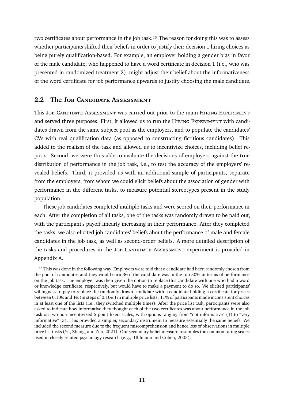two certificates about performance in the job task.<sup>15</sup> The reason for doing this was to assess whether participants shifted their beliefs in order to justify their decision 1 hiring choices as being purely qualification-based. For example, an employer holding a gender bias in favor of the male candidate, who happened to have a word certificate in decision 1 (i.e., who was presented in randomized treatment 2), might adjust their belief about the informativeness of the word certificate for job performance upwards to justify choosing the male candidate.

## **2.2 The Job Candidate Assessment**

This JOB CANDIDATE ASSESSMENT was carried out prior to the main HIRING EXPERIMENT and served three purposes. First, it allowed us to run the HIRING EXPERIMENT with candidates drawn from the same subject pool as the employers, and to populate the candidates' CVs with real qualification data (as opposed to constructing fictitious candidates). This added to the realism of the task and allowed us to incentivize choices, including belief reports. Second, we were thus able to evaluate the decisions of employers against the true distribution of performance in the job task, i.e., to test the accuracy of the employers' revealed beliefs. Third, it provided us with an additional sample of participants, separate from the employers, from whom we could elicit beliefs about the association of gender with performance in the different tasks, to measure potential stereotypes present in the study population.

These job candidates completed multiple tasks and were scored on their performance in each. After the completion of all tasks, one of the tasks was randomly drawn to be paid out, with the participant's payoff linearly increasing in their performance. After they completed the tasks, we also elicited job candidates' beliefs about the performance of male and female candidates in the job task, as well as second-order beliefs. A more detailed description of the tasks and procedures in the JOB CANDIDATE ASSESSMENT experiment is provided in Appendix [A.](#page-41-0)

<span id="page-11-0"></span><sup>&</sup>lt;sup>15</sup> This was done in the following way. Employers were told that a candidate had been randomly chosen from the pool of candidates and they would earn  $3\epsilon$  if the candidate was in the top 50% in terms of performance on the job task. The employer was then given the option to replace this candidate with one who had a word or knowledge certificate, respectively, but would have to make a payment to do so. We elicited participants' willingness to pay to replace the randomly drawn candidate with a candidate holding a certificate for prices between 0.10€ and 1€ (in steps of 0.10€) in multiple price lists. 11% of participants made inconsistent choices in at least one of the lists (i.e., they switched multiple times). After the price list task, participants were also asked to indicate how informative they thought each of the two certificates was about performance in the job task on two non-incentivized 5-point likert scales, with options ranging from "not informative" (1) to "very informative" (5). This provided a simpler, secondary instrument to measure essentially the same beliefs. We included the second measure due to the frequent miscomprehension and hence loss of observations in multiple price list tasks [\(Yu, Zhang, and Zuo,](#page-40-5) [2021\)](#page-40-5). Our secondary belief measure resembles the common rating scales used in closely related psychology research (e.g., [Uhlmann and Cohen,](#page-40-4) [2005\)](#page-40-4).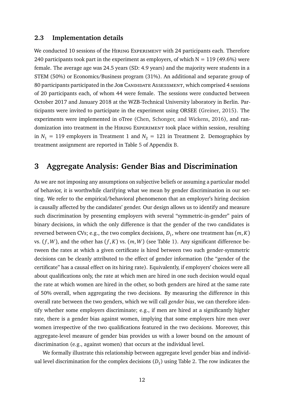### **2.3 Implementation details**

We conducted 10 sessions of the HIRING EXPERIMENT with 24 participants each. Therefore 240 participants took part in the experiment as employers, of which  $N = 119$  (49.6%) were female. The average age was 24.5 years (SD: 4.9 years) and the majority were students in a STEM (50%) or Economics/Business program (31%). An additional and separate group of 80 participants participated in the JOB CANDIDATE ASSESSMENT, which comprised 4 sessions of 20 participants each, of whom 44 were female. The sessions were conducted between October 2017 and January 2018 at the WZB-Technical University laboratory in Berlin. Participants were invited to participate in the experiment using ORSEE [\(Greiner,](#page-38-11) [2015\)](#page-38-11). The experiments were implemented in oTree [\(Chen, Schonger, and Wickens,](#page-36-11) [2016\)](#page-36-11), and randomization into treatment in the HIRING EXPERIMENT took place within session, resulting in  $N_1 = 119$  employers in Treatment 1 and  $N_2 = 121$  in Treatment 2. Demographics by treatment assignment are reported in Table [5](#page-43-0) of Appendix [B.](#page-43-1)

## <span id="page-12-0"></span>**3 Aggregate Analysis: Gender Bias and Discrimination**

As we are not imposing any assumptions on subjective beliefs or assuming a particular model of behavior, it is worthwhile clarifying what we mean by gender discrimination in our setting. We refer to the empirical/behavioral phenomenon that an employer's hiring decision is causally affected by the candidates' gender. Our design allows us to identify and measure such discrimination by presenting employers with several "symmetric-in-gender" pairs of binary decisions, in which the only difference is that the gender of the two candidates is reversed between CVs; e.g., the two complex decisions,  $D_1$ , where one treatment has  $(m,K)$ vs.  $(f, W)$ , and the other has  $(f, K)$  vs.  $(m, W)$  (see Table [1\)](#page-9-1). Any significant difference between the rates at which a given certificate is hired between two such gender-symmetric decisions can be cleanly attributed to the effect of gender information (the "gender of the certificate" has a causal effect on its hiring rate). Equivalently, if employers' choices were all about qualifications only, the rate at which men are hired in one such decision would equal the rate at which women are hired in the other, so both genders are hired at the same rate of 50% overall, when aggregating the two decisions. By measuring the difference in this overall rate between the two genders, which we will call *gender bias*, we can therefore identify whether some employers discriminate; e.g., if men are hired at a significantly higher rate, there is a gender bias against women, implying that some employers hire men over women irrespective of the two qualifications featured in the two decisions. Moreover, this aggregate-level measure of gender bias provides us with a lower bound on the amount of discrimination (e.g., against women) that occurs at the individual level.

We formally illustrate this relationship between aggregate level gender bias and individual level discrimination for the complex decisions  $(D_1)$  using Table [2.](#page-13-0) The row indicates the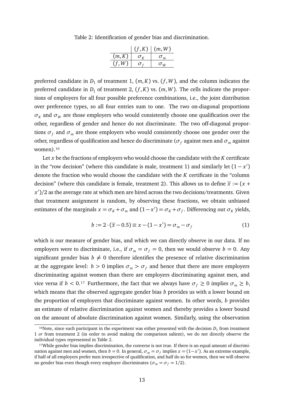Table 2: Identification of gender bias and discrimination.

|        | (f,K)                              | (m, W)                          |
|--------|------------------------------------|---------------------------------|
| (m,K)  | $\sigma_{\rm\scriptscriptstyle V}$ | $\sigma_m$                      |
| (f, W) |                                    | $\sigma_{\scriptscriptstyle W}$ |

<span id="page-13-0"></span>preferred candidate in  $D_1$  of treatment 1,  $(m, K)$  vs.  $(f, W)$ , and the column indicates the preferred candidate in  $D_1$  of treatment 2,  $(f, K)$  vs.  $(m, W)$ . The cells indicate the proportions of employers for all four possible preference combinations, i.e., the joint distribution over preference types, so all four entries sum to one. The two on-diagonal proportions  $\sigma_K$  and  $\sigma_W$  are those employers who would consistently choose one qualification over the other, regardless of gender and hence do not discriminate. The two off-diagonal proportions  $\sigma_f$  and  $\sigma_m$  are those employers who would consistently choose one gender over the other, regardless of qualification and hence do discriminate ( $\sigma_f$  against men and  $\sigma_m$  against women).<sup>16</sup>

Let *x* be the fractions of employers who would choose the candidate with the *K* certificate in the "row decision" (where this candidate is male, treatment 1) and similarly let  $(1-x')$ denote the fraction who would choose the candidate with the *K* certificate in the "column decision" (where this candidate is female, treatment 2). This allows us to define  $\bar{x}$  := (*x* + *x* 0 )*/*2 as the average rate at which men are hired across the two decisions/treatments. Given that treatment assignment is random, by observing these fractions, we obtain unbiased estimates of the marginals  $x = \sigma_K + \sigma_m$  and  $(1 - x') = \sigma_K + \sigma_f$ . Differencing out  $\sigma_K$  yields,

<span id="page-13-3"></span>
$$
b := 2 \cdot (\overline{x} - 0.5) \equiv x - (1 - x') = \sigma_m - \sigma_f \tag{1}
$$

which is our measure of gender bias, and which we can directly observe in our data. If no employers were to discriminate, i.e., if  $\sigma_m = \sigma_f = 0$ , then we would observe  $b = 0$ . Any significant gender bias  $b \neq 0$  therefore identifies the presence of relative discrimination at the aggregate level:  $b > 0$  implies  $\sigma_m > \sigma_f$  and hence that there are more employers discriminating against women than there are employers discriminating against men, and vice versa if  $b < 0.17$  Furthermore, the fact that we always have  $\sigma_f \ge 0$  implies  $\sigma_m \ge b$ , which means that the observed aggregate gender bias *b* provides us with a lower bound on the proportion of employers that discriminate against women. In other words, *b* provides an estimate of relative discrimination against women and thereby provides a lower bound on the amount of absolute discrimination against women. Similarly, using the observation

<span id="page-13-1"></span><sup>&</sup>lt;sup>16</sup>Note, since each participant in the experiment was either presented with the decision  $D_1$  from treatment 1 *or* from treatment 2 (in order to avoid making the comparison salient), we do not directly observe the individual types represented in Table [2.](#page-13-0)

<span id="page-13-2"></span><sup>&</sup>lt;sup>17</sup>While gender bias implies discrimination, the converse is not true. If there is an equal amount of discrimination against men and women, then *b* = 0. In general,  $\sigma_m = \sigma_f$  implies *x* = (1-*x'*). As an extreme example, if half of all employers prefer men irrespective of qualification, and half do so for women, then we will observe no gender bias even though every employer discriminates ( $\sigma_m = \sigma_f = 1/2$ ).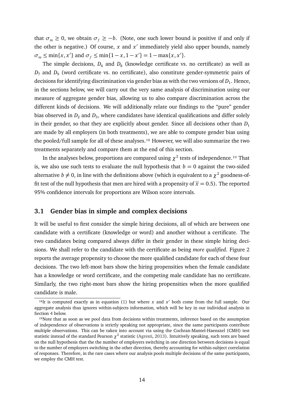that  $\sigma_m \geq 0$ , we obtain  $\sigma_f \geq -b$ . (Note, one such lower bound is positive if and only if the other is negative.) Of course,  $x$  and  $x'$  immediately yield also upper bounds, namely  $\sigma_m \le \min\{x, x'\}$  and  $\sigma_f \le \min\{1 - x, 1 - x'\} = 1 - \max\{x, x'\}.$ 

The simple decisions,  $D_6$  and  $D_8$  (knowledge certificate vs. no certificate) as well as  $D_7$  and  $D_9$  (word certificate vs. no certificate), also constitute gender-symmetric pairs of decisions for identifying discrimination via gender bias as with the two versions of  $D_1$ . Hence, in the sections below, we will carry out the very same analysis of discrimination using our measure of aggregate gender bias, allowing us to also compare discrimination across the different kinds of decisions. We will additionally relate our findings to the "pure" gender bias observed in  $D_2$  and  $D_3$ , where candidates have identical qualifications and differ solely in their gender, so that they are explicitly about gender. Since all decisions other than  $D_1$ are made by all employers (in both treatments), we are able to compute gender bias using the pooled/full sample for all of these analyses.<sup>18</sup> However, we will also summarize the two treatments separately and compare them at the end of this section.

In the analyses below, proportions are compared using  $\chi^2$  tests of independence.<sup>19</sup> That is, we also use such tests to evaluate the null hypothesis that  $b = 0$  against the two-sided alternative  $b \neq 0$ , in line with the definitions above (which is equivalent to a  $\chi^2$  goodness-offit test of the null hypothesis that men are hired with a propensity of  $\bar{x} = 0.5$ ). The reported 95% confidence intervals for proportions are Wilson score intervals.

### **3.1 Gender bias in simple and complex decisions**

It will be useful to first consider the simple hiring decisions, all of which are between one candidate with a certificate (knowledge or word) and another without a certificate. The two candidates being compared always differ in their gender in these simple hiring decisions. We shall refer to the candidate with the certificate as being *more qualified*. Figure [2](#page-15-0) reports the average propensity to choose the more qualified candidate for each of these four decisions. The two left-most bars show the hiring propensities when the female candidate has a knowledge or word certificate, and the competing male candidate has no certificate. Similarly, the two right-most bars show the hiring propensities when the more qualified candidate is male.

<span id="page-14-0"></span><sup>&</sup>lt;sup>18</sup>It is computed exactly as in equation [\(1\)](#page-13-3) but where  $x$  and  $x'$  both come from the full sample. Our aggregate analysis thus ignores within-subjects information, which will be key in our individual analysis in Section [4](#page-21-0) below.

<span id="page-14-1"></span><sup>&</sup>lt;sup>19</sup>Note that as soon as we pool data from decisions within treatments, inference based on the assumption of independence of observations is strictly speaking not appropriate, since the same participants contribute multiple observations. This can be taken into account via using the Cochran-Mantel-Haenszel (CMH) test statistic instead of the standard Pearson  $\chi^2$  statistic [\(Agresti,](#page-35-12) [2013\)](#page-35-12). Intuitively speaking, such tests are based on the null hypothesis that the the number of employers switching in one direction between decisions is equal to the number of employers switching in the other direction, thereby accounting for within-subject correlation of responses. Therefore, in the rare cases where our analysis pools multiple decisions of the same participants, we employ the CMH test.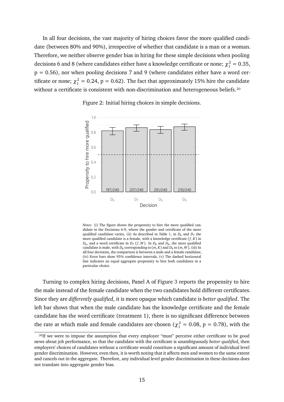In all four decisions, the vast majority of hiring choices favor the more qualified candidate (between 80% and 90%), irrespective of whether that candidate is a man or a woman. Therefore, we neither observe gender bias in hiring for these simple decisions when pooling decisions 6 and 8 (where candidates either have a knowledge certificate or none;  $\chi_1^2 = 0.35$ ,  $p = 0.56$ ), nor when pooling decisions 7 and 9 (where candidates either have a word certificate or none;  $\chi_1^2 = 0.24$ ,  $p = 0.62$ ). The fact that approximately 15% hire the candidate without a certificate is consistent with non-discrimination and heterogeneous beliefs.<sup>20</sup>

<span id="page-15-0"></span>

Figure 2: Initial hiring choices in simple decisions.

*Notes:* (i) The figure shows the propensity to hire the more qualified candidate in the Decisions 6-9, where the gender and certificate of the more qualified candidate varies, (ii) As described in Table [1,](#page-9-1) in  $D_6$  and  $D_7$  the more qualified candidate is a female, with a knowledge certificate  $(f, K)$  in  $D_6$ , and a word certificate in  $D_7$  ( $f$ ,  $W$ ). In  $D_8$  and  $D_9$ , the more qualified candidate is male, with  $D_8$  corresponding to  $(m, K)$  and  $D_9$  to  $(m, W)$ , (iii) In all four decisions, the comparison is between a male and a female candidate, (iv) Error bars show 95% confidence intervals, (v) The dashed horizontal line indicates an equal aggregate propensity to hire both candidates in a particular choice.

Turning to complex hiring decisions, Panel A of Figure [3](#page-16-0) reports the propensity to hire the male instead of the female candidate when the two candidates hold different certificates. Since they are *differently qualified*, it is more opaque which candidate is *better qualified*. The left bar shows that when the male candidate has the knowledge certificate and the female candidate has the word certificate (treatment 1), there is no significant difference between the rate at which male and female candidates are chosen ( $\chi_1^2 = 0.08$ , p = 0.78), with the

<span id="page-15-1"></span><sup>&</sup>lt;sup>20</sup>If we were to impose the assumption that every employer "must" perceive either certificate to be good news about job performance, so that the candidate with the certificate is unambiguously *better qualified*, then employers' choices of candidates without a certificate would constitute a significant amount of individual level gender discrimination. However, even then, it is worth noting that it affects men and women to the same extent and cancels out in the aggregate. Therefore, any individual level gender discrimination in these decisions does not translate into aggregate gender bias.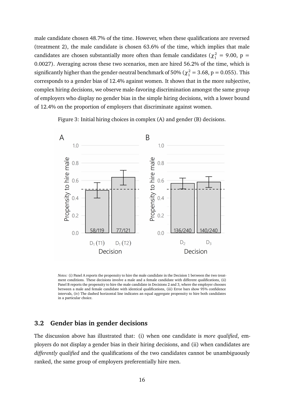male candidate chosen 48.7% of the time. However, when these qualifications are reversed (treatment 2), the male candidate is chosen 63.6% of the time, which implies that male candidates are chosen substantially more often than female candidates ( $\chi_1^2 = 9.00$ , p = 0.0027). Averaging across these two scenarios, men are hired 56.2% of the time, which is significantly higher than the gender-neutral benchmark of 50% ( $\chi_1^2 = 3.68$ , p = 0.055). This corresponds to a gender bias of 12.4% against women. It shows that in the more subjective, complex hiring decisions, we observe male-favoring discrimination amongst the same group of employers who display no gender bias in the simple hiring decisions, with a lower bound of 12.4% on the proportion of employers that discriminate against women.

Figure 3: Initial hiring choices in complex (A) and gender (B) decisions.

<span id="page-16-0"></span>

*Notes:* (i) Panel A reports the propensity to hire the male candidate in the Decision 1 between the two treatment conditions. These decisions involve a male and a female candidate with different qualifications, (ii) Panel B reports the propensity to hire the male candidate in Decisions 2 and 3, where the employer chooses between a male and female candidate with identical qualifications, (iii) Error bars show 95% confidence intervals, (iv) The dashed horizontal line indicates an equal aggregate propensity to hire both candidates in a particular choice.

### **3.2 Gender bias in gender decisions**

The discussion above has illustrated that: (i) when one candidate is *more qualified*, employers do not display a gender bias in their hiring decisions, and (ii) when candidates are *differently qualified* and the qualifications of the two candidates cannot be unambiguously ranked, the same group of employers preferentially hire men.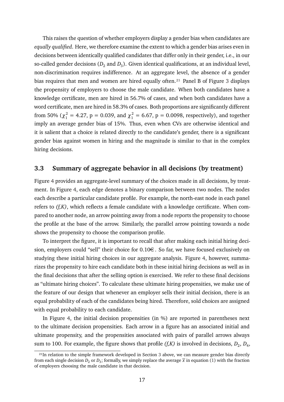This raises the question of whether employers display a gender bias when candidates are *equally qualified*. Here, we therefore examine the extent to which a gender bias arises even in decisions between identically qualified candidates that differ only in their gender, i.e., in our so-called gender decisions ( $D_2$  and  $D_3$ ). Given identical qualifications, at an individual level, non-discrimination requires indifference. At an aggregate level, the absence of a gender bias requires that men and women are hired equally often.<sup>21</sup> Panel B of Figure [3](#page-16-0) displays the propensity of employers to choose the male candidate. When both candidates have a knowledge certificate, men are hired in 56.7% of cases, and when both candidates have a word certificate, men are hired in 58.3% of cases. Both proportions are significantly different from 50% ( $\chi_1^2 = 4.27$ , p = 0.039, and  $\chi_1^2 = 6.67$ , p = 0.0098, respectively), and together imply an average gender bias of 15%. Thus, even when CVs are otherwise identical and it is salient that a choice is related directly to the candidate's gender, there is a significant gender bias against women in hiring and the magnitude is similar to that in the complex hiring decisions.

## **3.3 Summary of aggregate behavior in all decisions (by treatment)**

Figure [4](#page-18-0) provides an aggregate-level summary of the choices made in all decisions, by treatment. In Figure [4,](#page-18-0) each edge denotes a binary comparison between two nodes. The nodes each describe a particular candidate profile. For example, the north-east node in each panel refers to *(f,K)*, which reflects a female candidate with a knowledge certificate. When compared to another node, an arrow pointing away from a node reports the propensity to choose the profile at the base of the arrow. Similarly, the parallel arrow pointing towards a node shows the propensity to choose the comparison profile.

To interpret the figure, it is important to recall that after making each initial hiring decision, employers could "sell" their choice for 0.10€. So far, we have focused exclusively on studying these initial hiring choices in our aggregate analysis. Figure [4,](#page-18-0) however, summarizes the propensity to hire each candidate both in these initial hiring decisions as well as in the final decisions that after the selling option is exercised. We refer to these final decisions as "ultimate hiring choices". To calculate these ultimate hiring propensities, we make use of the feature of our design that whenever an employer sells their initial decision, there is an equal probability of each of the candidates being hired. Therefore, sold choices are assigned with equal probability to each candidate.

In Figure [4,](#page-18-0) the initial decision propensities (in %) are reported in parentheses next to the ultimate decision propensities. Each arrow in a figure has an associated initial and ultimate propensity, and the propensities associated with pairs of parallel arrows always sum to 100. For example, the figure shows that profile  $(f,K)$  is involved in decisions,  $D_2, D_4$ ,

<span id="page-17-0"></span><sup>&</sup>lt;sup>21</sup>In relation to the simple framework developed in Section [3](#page-12-0) above, we can measure gender bias directly from each single decision  $D_2$  or  $D_3$ ; formally, we simply replace the average  $\overline{x}$  in equation [\(1\)](#page-13-3) with the fraction of employers choosing the male candidate in that decision.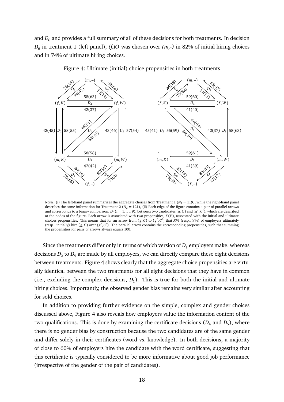and  $D_6$  and provides a full summary of all of these decisions for both treatments. In decision *D*6 in treatment 1 (left panel), *(f,K)* was chosen over *(m,-)* in 82% of initial hiring choices and in 74% of ultimate hiring choices.

<span id="page-18-0"></span>

Figure 4: Ultimate (initial) choice propensities in both treatments

*Notes:* (i) The left-hand panel summarizes the aggregate choices from Treatment 1 ( $N_1 = 119$ ), while the right-hand panel describes the same information for Treatment 2 ( $N_2 = 121$ ), (ii) Each edge of the figure contains a pair of parallel arrows and corresponds to a binary comparison,  $D_i$  ( $i = 1, ..., 9$ ), between two candidates ( $g, C$ ) and ( $g', C'$ ), which are described at the nodes of the figure. Each arrow is associated with two propensities, *X*(*Y* ), associated with the initial and ultimate choices propensities. This means that for an arrow from  $(g, \hat{C})$  to  $(g', C')$  that  $X$ % (resp.,  $Y$ %) of employers ultimately (resp. initially) hire  $(g, C)$  over  $(g', C')$ . The parallel arrow contains the corresponding propensities, such that summing the propensities for pairs of arrows always equals 100.

Since the treatments differ only in terms of which version of  $D_1$  employers make, whereas decisions  $D_2$  to  $D_9$  are made by all employers, we can directly compare these eight decisions between treatments. Figure [4](#page-18-0) shows clearly that the aggregate choice propensities are virtually identical between the two treatments for all eight decisions that they have in common (i.e., excluding the complex decisions,  $D_1$ ). This is true for both the initial and ultimate hiring choices. Importantly, the observed gender bias remains very similar after accounting for sold choices.

In addition to providing further evidence on the simple, complex and gender choices discussed above, Figure [4](#page-18-0) also reveals how employers value the information content of the two qualifications. This is done by examining the certificate decisions  $(D_4 \text{ and } D_5)$ , where there is no gender bias by construction because the two candidates are of the same gender and differ solely in their certificates (word vs. knowledge). In both decisions, a majority of close to 60% of employers hire the candidate with the word certificate, suggesting that this certificate is typically considered to be more informative about good job performance (irrespective of the gender of the pair of candidates).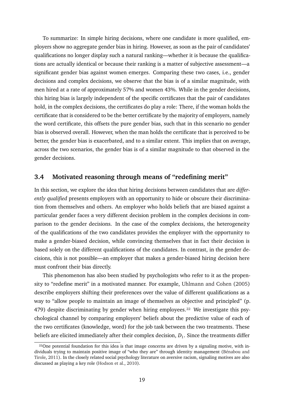To summarize: In simple hiring decisions, where one candidate is more qualified, employers show no aggregate gender bias in hiring. However, as soon as the pair of candidates' qualifications no longer display such a natural ranking—whether it is because the qualifications are actually identical or because their ranking is a matter of subjective assessment—a significant gender bias against women emerges. Comparing these two cases, i.e., gender decisions and complex decisions, we observe that the bias is of a similar magnitude, with men hired at a rate of approximately 57% and women 43%. While in the gender decisions, this hiring bias is largely independent of the specific certificates that the pair of candidates hold, in the complex decisions, the certificates do play a role: There, if the woman holds the certificate that is considered to be the better certificate by the majority of employers, namely the word certificate, this offsets the pure gender bias, such that in this scenario no gender bias is observed overall. However, when the man holds the certificate that is perceived to be better, the gender bias is exacerbated, and to a similar extent. This implies that on average, across the two scenarios, the gender bias is of a similar magnitude to that observed in the gender decisions.

## **3.4 Motivated reasoning through means of "redefining merit"**

In this section, we explore the idea that hiring decisions between candidates that are *differently qualified* presents employers with an opportunity to hide or obscure their discrimination from themselves and others. An employer who holds beliefs that are biased against a particular gender faces a very different decision problem in the complex decisions in comparison to the gender decisions. In the case of the complex decisions, the heterogeneity of the qualifications of the two candidates provides the employer with the opportunity to make a gender-biased decision, while convincing themselves that in fact their decision is based solely on the different qualifications of the candidates. In contrast, in the gender decisions, this is not possible—an employer that makes a gender-biased hiring decision here must confront their bias directly.

This phenomenon has also been studied by psychologists who refer to it as the propensity to "redefine merit" in a motivated manner. For example, [Uhlmann and Cohen](#page-40-4) [\(2005\)](#page-40-4) describe employers shifting their preferences over the value of different qualifications as a way to "allow people to maintain an image of themselves as objective and principled" (p. 479) despite discriminating by gender when hiring employees.<sup>22</sup> We investigate this psychological channel by comparing employers' beliefs about the predictive value of each of the two certificates (knowledge, word) for the job task between the two treatments. These beliefs are elicited immediately after their complex decision,  $D_1$ . Since the treatments differ

<span id="page-19-0"></span><sup>22</sup>One potential foundation for this idea is that image concerns are driven by a signaling motive, with individuals trying to maintain positive image of "who they are" through identity management [\(Bénabou and](#page-35-13) [Tirole,](#page-35-13) [2011\)](#page-35-13). In the closely related social psychology literature on aversive racism, signaling motives are also discussed as playing a key role [\(Hodson et al.,](#page-38-3) [2010\)](#page-38-3).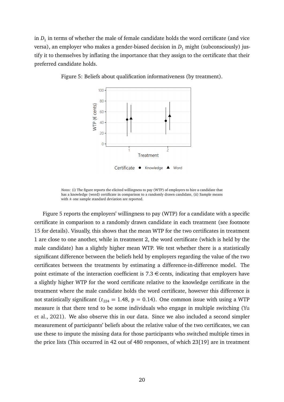in  $D_1$  in terms of whether the male of female candidate holds the word certificate (and vice versa), an employer who makes a gender-biased decision in  $D_1$  might (subconsciously) justify it to themselves by inflating the importance that they assign to the certificate that their preferred candidate holds.



<span id="page-20-0"></span>Figure 5: Beliefs about qualification informativeness (by treatment).

*Notes:* (i) The figure reports the elicited willingness to pay (WTP) of employers to hire a candidate that has a knowledge (word) certificate in comparison to a randomly drawn candidate, (ii) Sample means with  $\pm$  one sample standard deviation are reported.

Figure [5](#page-20-0) reports the employers' willingness to pay (WTP) for a candidate with a specific certificate in comparison to a randomly drawn candidate in each treatment (see footnote [15](#page-11-0) for details). Visually, this shows that the mean WTP for the two certificates in treatment 1 are close to one another, while in treatment 2, the word certificate (which is held by the male candidate) has a slightly higher mean WTP. We test whether there is a statistically significant difference between the beliefs held by employers regarding the value of the two certificates between the treatments by estimating a difference-in-difference model. The point estimate of the interaction coefficient is  $7.3 \in \text{cents}$ , indicating that employers have a slightly higher WTP for the word certificate relative to the knowledge certificate in the treatment where the male candidate holds the word certificate, however this difference is not statistically significant ( $t_{224} = 1.48$ ,  $p = 0.14$ ). One common issue with using a WTP measure is that there tend to be some individuals who engage in multiple switching [\(Yu](#page-40-5) [et al.,](#page-40-5) [2021\)](#page-40-5). We also observe this in our data. Since we also included a second simpler measurement of participants' beliefs about the relative value of the two certificates, we can use these to impute the missing data for those participants who switched multiple times in the price lists (This occurred in 42 out of 480 responses, of which 23[19] are in treatment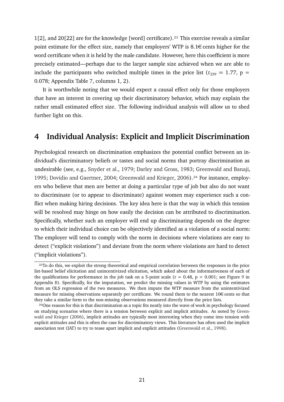1[2], and 20[22] are for the knowledge [word] certificate).<sup>23</sup> This exercise reveals a similar point estimate for the effect size, namely that employers' WTP is  $8.1 \in \text{cents}$  higher for the word certificate when it is held by the male candidate. However, here this coefficient is more precisely estimated—perhaps due to the larger sample size achieved when we are able to include the participants who switched multiple times in the price list ( $t_{239} = 1.77$ , p = 0.078; Appendix Table [7,](#page-45-0) columns 1, 2).

It is worthwhile noting that we would expect a causal effect only for those employers that have an interest in covering up their discriminatory behavior, which may explain the rather small estimated effect size. The following individual analysis will allow us to shed further light on this.

## <span id="page-21-0"></span>**4 Individual Analysis: Explicit and Implicit Discrimination**

Psychological research on discrimination emphasizes the potential conflict between an individual's discriminatory beliefs or tastes and social norms that portray discrimination as undesirable (see, e.g., [Snyder et al.,](#page-40-0) [1979;](#page-40-0) [Darley and Gross,](#page-37-9) [1983;](#page-37-9) [Greenwald and Banaji,](#page-37-10) [1995;](#page-37-10) [Dovidio and Gaertner,](#page-37-11) [2004;](#page-37-11) [Greenwald and Krieger,](#page-37-12) [2006\)](#page-37-12).<sup>24</sup> For instance, employers who believe that men are better at doing a particular type of job but also do not want to discriminate (or to appear to discriminate) against women may experience such a conflict when making hiring decisions. The key idea here is that the way in which this tension will be resolved may hinge on how easily the decision can be attributed to discrimination. Specifically, whether such an employer will end up discriminating depends on the degree to which their individual choice can be objectively identified as a violation of a social norm: The employer will tend to comply with the norm in decisions where violations are easy to detect ("explicit violations") and deviate from the norm where violations are hard to detect ("implicit violations").

<span id="page-21-1"></span><sup>23</sup>To do this, we exploit the strong theoretical and empirical correlation between the responses in the price list-based belief elicitation and unincentivized elicitation, which asked about the informativeness of each of the qualifications for performance in the job task on a 5-point scale ( $r = 0.48$ ,  $p < 0.001$ ; see Figure [9](#page-43-2) in Appendix [B\)](#page-43-1). Specifically, for the imputation, we predict the missing values in WTP by using the estimates from an OLS regression of the two measures. We then impute the WTP measure from the unintentivized measure for missing observations separately per certificate. We round them to the nearest  $10 \in \text{cents}$  so that they take a similar form to the non-missing observations measured directly from the price lists.

<span id="page-21-2"></span><sup>&</sup>lt;sup>24</sup>One reason for this is that discrimination as a topic fits neatly into the wave of work in psychology focused on studying scenarios where there is a tension between explicit and implicit attitudes. As noted by [Green](#page-37-12)[wald and Krieger](#page-37-12) [\(2006\)](#page-37-12), implicit attitudes are typically most interesting when they come into tension with explicit attitudes and this is often the case for discriminatory views. This literature has often used the implicit association test (IAT) to try to tease apart implicit and explicit attitudes [\(Greenwald et al.,](#page-38-9) [1998\)](#page-38-9).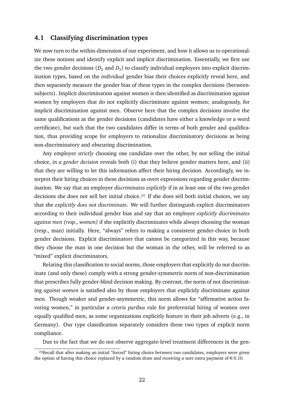### **4.1 Classifying discrimination types**

We now turn to the within-dimension of our experiment, and how it allows us to operationalize these notions and identify explicit and implicit discrimination. Essentially, we first use the two gender decisions  $(D_2 \text{ and } D_3)$  to classify individual employers into explicit discrimination types, based on the *individual* gender bias their choices explicitly reveal here, and then separately measure the gender bias of these types in the complex decisions (betweensubjects). Implicit discrimination against women is then identified as discrimination against women by employers that do not explicitly discriminate against women; analogously, for implicit discrimination against men. Observe here that the complex decisions involve the same qualifications as the gender decisions (candidates have either a knowledge or a word certificate), but such that the two candidates differ in terms of both gender and qualification, thus providing scope for employers to rationalize discriminatory decisions as being non-discriminatory and obscuring discrimination.

Any employer *strictly* choosing one candidate over the other, by not selling the initial choice, *in a gender decision* reveals both (i) that they believe gender matters here, and (ii) that they are willing to let this information affect their hiring decision. Accordingly, we interpret their hiring choices in these decisions as overt expressions regarding gender discrimination: We say that an employer *discriminates explicitly* if in at least one of the two gender decisions she does not sell her initial choice.<sup>25</sup> If she does sell both initial choices, we say that she *explicitly does not discriminate*. We will further distinguish explicit discriminators according to their individual gender bias and say that an employer *explicitly discriminates against men (resp., women)* if she explicitly discriminates while always choosing the woman (resp., man) initially. Here, "always" refers to making a consistent gender-choice in both gender decisions. Explicit discriminators that cannot be categorized in this way, because they choose the man in one decision but the woman in the other, will be referred to as "mixed" explicit discriminators.

Relating this classification to social norms, those employers that explicitly do not discriminate (and only these) comply with a strong gender-symmetric norm of non-discrimination that prescribes fully gender-blind decision making. By contrast, the norm of not discriminating *against women* is satisfied also by those employers that explicitly discriminate against men. Though weaker and gender-asymmetric, this norm allows for "affirmative action favoring women," in particular a *ceteris paribus* rule for preferential hiring of women over equally qualified men, as some organizations explicitly feature in their job adverts (e.g., in Germany). Our type classification separately considers these two types of explicit norm compliance.

Due to the fact that we do not observe aggregate-level treatment differences in the gen-

<span id="page-22-0"></span><sup>&</sup>lt;sup>25</sup>Recall that after making an initial "forced" hiring choice between two candidates, employers were given the option of having this choice replaced by a random draw and receiving a sure extra payment of  $\in 0.10$ .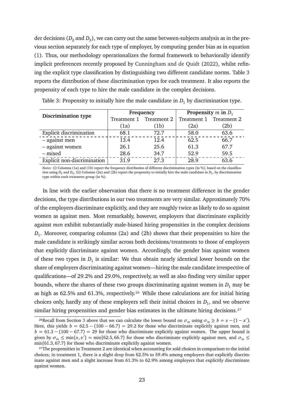der decisions  $(D_2 \text{ and } D_3)$ , we can carry out the same between-subjects analysis as in the previous section separately for each type of employer, by computing gender bias as in equation [\(1\)](#page-13-3). Thus, our methodology operationalizes the formal framework to behaviorally identify implicit preferences recently proposed by [Cunningham and de Quidt](#page-37-1) [\(2022\)](#page-37-1), whilst refining the explicit type classification by distinguishing two different candidate norms. Table [3](#page-23-0) reports the distribution of these discrimination types for each treatment. It also reports the propensity of each type to hire the male candidate in the complex decisions.

<span id="page-23-0"></span>

|                                |             | Frequency   | Propensity $m$ in $D_1$ |      |  |
|--------------------------------|-------------|-------------|-------------------------|------|--|
| <b>Discrimination type</b>     | Treatment 1 | Treatment 2 | Treatment 1 Treatment 2 |      |  |
|                                | (1a)        | (1b)        | (2a)                    | (2b) |  |
| <b>Explicit discrimination</b> | 68.1        | 72.7        | 58.0                    | 63.6 |  |
| - against men                  | 13.4        | 12.4        | 62.5                    | 66.7 |  |
| - against women                | 26.1        | 25.6        | 61.3                    | 67.7 |  |
| – mixed                        | 28.6        | 34.7        | 52.9                    | 59.5 |  |
| Explicit non-discrimination    | 31.9        | 27.3        | 28.9                    | 63.6 |  |

Table 3: Propensity to initially hire the male candidate in  $D_1$  by discrimination type.

*Notes:* (i) Columns (1a) and (1b) report the frequency distribution of different discrimination types (in %), based on the classification using  $D_2$  and  $D_3$ , (ii) Columns (2a) and (2b) report the propensity to initially hire the male candidate in  $D_1$ , by discrimination type within each treatment group (in %).

In line with the earlier observation that there is no treatment difference in the gender decisions, the type distributions in our two treatments are very similar. Approximately 70% of the employers discriminate explicitly, and they are roughly twice as likely to do so against women as against men. Most remarkably, however, employers that discriminate explicitly against *men* exhibit substantially male-biased hiring propensities in the complex decisions *D*1 . Moreover, comparing columns (2a) and (2b) shows that their propensities to hire the male candidate is strikingly similar across both decisions/treatments to those of employers that explicitly discriminate against women. Accordingly, the gender bias against women of these two types in  $D_1$  is similar: We thus obtain nearly identical lower bounds on the share of employers discriminating against women—hiring the male candidate irrespective of qualifications—of 29.2% and 29.0%, respectively, as well as also finding very similar upper bounds, where the shares of these two groups discriminating against women in  $D_1$  may be as high as 62.5% and 61.3%, respectively.<sup>26</sup> While these calculations are for initial hiring choices only, hardly any of these employers sell their initial choices in  $D_1$ , and we observe similar hiring propensities and gender bias estimates in the ultimate hiring decisions.<sup>27</sup>

<span id="page-23-1"></span><sup>&</sup>lt;sup>26</sup>Recall from Section [3](#page-12-0) above that we can calculate the lower bound on  $\sigma_m$  using  $\sigma_m \ge b = x - (1 - x')$ . Here, this yields  $b = 62.5 - (100 - 66.7) = 29.2$  for those who discriminate explicitly against men, and  $b = 61.3 - (100 - 67.7) = 29$  for those who discriminate explicitly against women. The upper bound is given by  $\sigma_m \le \min\{x, x'\} = \min\{62.5, 66.7\}$  for those who discriminate explicitly against men, and  $\sigma_m \le$ min{61.3, 67.7} for those who discriminate explicitly against women.

<span id="page-23-2"></span><sup>&</sup>lt;sup>27</sup>The propensities in Treatment 2 are identical when accounting for sold choices in comparison to the initial choices; in treatment 1, there is a slight drop from 62.5% to 59.4% among employers that explicitly discriminate against men and a slight increase from 61.3% to 62.9% among employers that explicitly discriminate against women.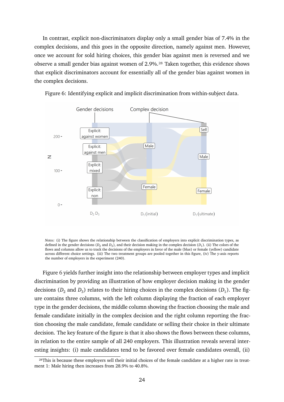In contrast, explicit non-discriminators display only a small gender bias of 7.4% in the complex decisions, and this goes in the opposite direction, namely against men. However, once we account for sold hiring choices, this gender bias against men is reversed and we observe a small gender bias against women of 2.9%.<sup>28</sup> Taken together, this evidence shows that explicit discriminators account for essentially all of the gender bias against women in the complex decisions.

<span id="page-24-1"></span>

Figure 6: Identifying explicit and implicit discrimination from within-subject data.

*Notes:* (i) The figure shows the relationship between the classification of employers into explicit discrimination types, as defined in the gender decisions ( $D_2$  and  $D_3$ ), and their decision making in the complex decision ( $D_1$ ). (ii) The colors of the flows and columns allow us to track the decisions of the employers in favor of the male (blue) or female (yellow) candidate across different choice settings. (iii) The two treatment groups are pooled together in this figure, (iv) The y-axis reports the number of employers in the experiment (240).

Figure [6](#page-24-1) yields further insight into the relationship between employer types and implicit discrimination by providing an illustration of how employer decision making in the gender decisions ( $D_2$  and  $D_3$ ) relates to their hiring choices in the complex decisions ( $D_1$ ). The figure contains three columns, with the left column displaying the fraction of each employer type in the gender decisions, the middle column showing the fraction choosing the male and female candidate initially in the complex decision and the right column reporting the fraction choosing the male candidate, female candidate or selling their choice in their ultimate decision. The key feature of the figure is that it also shows the flows between these columns, in relation to the entire sample of all 240 employers. This illustration reveals several interesting insights: (i) male candidates tend to be favored over female candidates overall, (ii)

<span id="page-24-0"></span><sup>&</sup>lt;sup>28</sup>This is because these employers sell their initial choices of the female candidate at a higher rate in treatment 1: Male hiring then increases from 28.9% to 40.8%.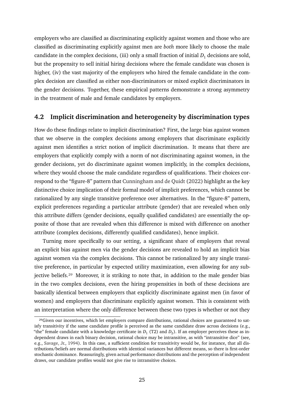employers who are classified as discriminating explicitly against women and those who are classified as discriminating explicitly against men are *both* more likely to choose the male candidate in the complex decisions, (iii) only a small fraction of initial  $D_1$  decisions are sold, but the propensity to sell initial hiring decisions where the female candidate was chosen is higher, (iv) the vast majority of the employers who hired the female candidate in the complex decision are classified as either non-discriminators or mixed explicit discriminators in the gender decisions. Together, these empirical patterns demonstrate a strong asymmetry in the treatment of male and female candidates by employers.

## **4.2 Implicit discrimination and heterogeneity by discrimination types**

How do these findings relate to implicit discrimination? First, the large bias against women that we observe in the complex decisions among employers that discriminate explicitly against men identifies a strict notion of implicit discrimination. It means that there are employers that explicitly comply with a norm of not discriminating against women, in the gender decisions, yet do discriminate against women implicitly, in the complex decisions, where they would choose the male candidate regardless of qualifications. Their choices correspond to the "figure-8" pattern that [Cunningham and de Quidt](#page-37-1) [\(2022\)](#page-37-1) highlight as the key distinctive choice implication of their formal model of implicit preferences, which cannot be rationalized by any single transitive preference over alternatives. In the "figure-8" pattern, explicit preferences regarding a particular attribute (gender) that are revealed when only this attribute differs (gender decisions, equally qualified candidates) are essentially the opposite of those that are revealed when this difference is mixed with difference on another attribute (complex decisions, differently qualified candidates), hence implicit.

Turning more specifically to our setting, a significant share of employers that reveal an explicit bias against men via the gender decisions are revealed to hold an implicit bias against women via the complex decisions. This cannot be rationalized by any single transitive preference, in particular by expected utility maximization, even allowing for any subjective beliefs.<sup>29</sup> Moreover, it is striking to note that, in addition to the male gender bias in the two complex decisions, even the hiring propensities in both of these decisions are basically identical between employers that explicitly discriminate against men (in favor of women) and employers that discriminate explicitly against women. This is consistent with an interpretation where the only difference between these two types is whether or not they

<span id="page-25-0"></span><sup>&</sup>lt;sup>29</sup>Given our incentives, which let employers compare distributions, rational choices are guaranteed to satisfy transitivity if the same candidate profile is perceived as the same candidate draw across decisions (e.g., "the" female candidate with a knowledge certificate in  $D_1$  (T2) and  $D_2$ ). If an employer perceives these as independent draws in each binary decision, rational choice may be intransitive, as with "intransitive dice" (see, e.g., [Savage, Jr.,](#page-40-6) [1994\)](#page-40-6). In this case, a sufficient condition for transitivity would be, for instance, that all distributions/beliefs are normal distributions with identical variances but different means, so there is first-order stochastic dominance. Reassuringly, given actual performance distributions and the perception of independent draws, our candidate profiles would not give rise to intransitive choices.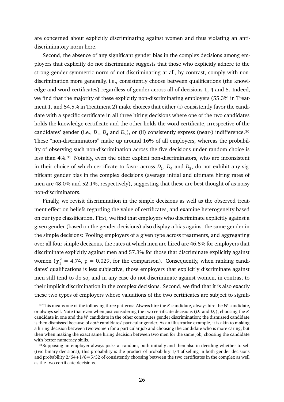are concerned about explicitly discriminating against women and thus violating an antidiscriminatory norm here.

Second, the absence of any significant gender bias in the complex decisions among employers that explicitly do not discriminate suggests that those who explicitly adhere to the strong gender-symmetric norm of not discriminating at all, by contrast, comply with nondiscrimination more generally, i.e., consistently choose between qualifications (the knowledge and word certificates) regardless of gender across all of decisions 1, 4 and 5. Indeed, we find that the majority of these explicitly non-discriminating employers (55.3% in Treatment 1, and 54.5% in Treatment 2) make choices that either (i) consistently favor the candidate with a specific certificate in all three hiring decisions where one of the two candidates holds the knowledge certificate and the other holds the word certificate, irrespective of the candidates' gender (i.e.,  $D_1$ ,  $D_4$  and  $D_5$ ), or (ii) consistently express (near-) indifference.<sup>30</sup> These "non-discriminators" make up around 16% of all employers, whereas the probability of observing such non-discrimination across the five decisions under random choice is less than 4%[.31](#page-26-1) Notably, even the other explicit non-discriminators, who are inconsistent in their choice of which certificate to favor across  $D_1$ ,  $D_4$  and  $D_5$ , do not exhibit any significant gender bias in the complex decisions (average initial and ultimate hiring rates of men are 48.0% and 52.1%, respectively), suggesting that these are best thought of as noisy non-discriminators.

Finally, we revisit discrimination in the simple decisions as well as the observed treatment effect on beliefs regarding the value of certificates, and examine heterogeneity based on our type classification. First, we find that employers who discriminate explicitly against a given gender (based on the gender decisions) also display a bias against the same gender in the simple decisions: Pooling employers of a given type across treatments, and aggregating over all four simple decisions, the rates at which men are hired are 46.8% for employers that discriminate explicitly against men and 57.3% for those that discriminate explicitly against women ( $\chi_1^2 = 4.74$ ,  $p = 0.029$ , for the comparison). Consequently, when ranking candidates' qualifications is less subjective, those employers that explicitly discriminate against men still tend to do so, and in any case do not discriminate against women, in contrast to their implicit discrimination in the complex decisions. Second, we find that it is also exactly these two types of employers whose valuations of the two certificates are subject to signifi-

<span id="page-26-0"></span><sup>3</sup>⁰This means one of the following three patterns: Always hire the *K* candidate, always hire the *W* candidate, or always sell. Note that even when just considering the two certificate decisions ( $D_4$  and  $D_5$ ), choosing the *K* candidate in one and the *W* candidate in the other constitutes gender discrimination; the dismissed candidate is then dismissed because of *both* candidates' particular gender. As an illustrative example, it is akin to making a hiring decision between two women for a particular job and choosing the candidate who is more caring, but then when making the exact same hiring decision between two men for the same job, choosing the candidate with better numeracy skills.

<span id="page-26-1"></span><sup>31</sup>Supposing an employer always picks at random, both initially and then also in deciding whether to sell (two binary decisions), this probability is the product of probability 1/4 of selling in both gender decisions and probability 2/64+1/8=5/32 of consistently choosing between the two certificates in the complex as well as the two certificate decisions.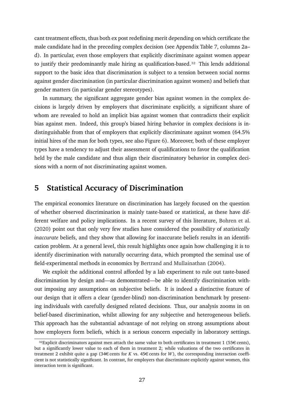cant treatment effects, thus both ex post redefining merit depending on which certificate the male candidate had in the preceding complex decision (see Appendix Table [7,](#page-45-0) columns 2a– d). In particular, even those employers that explicitly discriminate against women appear to justify their predominantly male hiring as qualification-based[.32](#page-27-0) This lends additional support to the basic idea that discrimination is subject to a tension between social norms against gender discrimination (in particular discrimination against women) and beliefs that gender matters (in particular gender stereotypes).

In summary, the significant aggregate gender bias against women in the complex decisions is largely driven by employers that discriminate explicitly, a significant share of whom are revealed to hold an implicit bias against women that contradicts their explicit bias against men. Indeed, this group's biased hiring behavior in complex decisions is indistinguishable from that of employers that explicitly discriminate against women (64.5% initial hires of the man for both types, see also Figure [6\)](#page-24-1). Moreover, both of these employer types have a tendency to adjust their assessment of qualifications to favor the qualification held by the male candidate and thus align their discriminatory behavior in complex decisions with a norm of not discriminating against women.

## **5 Statistical Accuracy of Discrimination**

The empirical economics literature on discrimination has largely focused on the question of whether observed discrimination is mainly taste-based or statistical, as these have different welfare and policy implications. In a recent survey of this literature, [Bohren et al.](#page-35-2) [\(2020\)](#page-35-2) point out that only very few studies have considered the possibility of *statistically inaccurate* beliefs, and they show that allowing for inaccurate beliefs results in an identification problem. At a general level, this result highlights once again how challenging it is to identify discrimination with naturally occurring data, which prompted the seminal use of field-experimental methods in economics by [Bertrand and Mullainathan](#page-35-10) [\(2004\)](#page-35-10).

We exploit the additional control afforded by a lab experiment to rule out taste-based discrimination by design and—as demonstrated—be able to identify discrimination without imposing any assumptions on subjective beliefs. It is indeed a distinctive feature of our design that it offers a clear (gender-blind) non-discrimination benchmark by presenting individuals with carefully designed related decisions. Thus, our analysis zooms in on belief-based discrimination, whilst allowing for any subjective and heterogeneous beliefs. This approach has the substantial advantage of not relying on strong assumptions about how employers form beliefs, which is a serious concern especially in laboratory settings.

<span id="page-27-0"></span> $32$ Explicit discriminators against men attach the same value to both certificates in treatment 1 (55€ cents), but a significantly lower value to each of them in treatment 2; while valuations of the two certificates in treatment 2 exhibit quite a gap (34€ cents for *K* vs.  $45€$  cents for *W*), the corresponding interaction coefficient is not statistically significant. In contrast, for employers that discriminate explicitly against women, this interaction term is significant.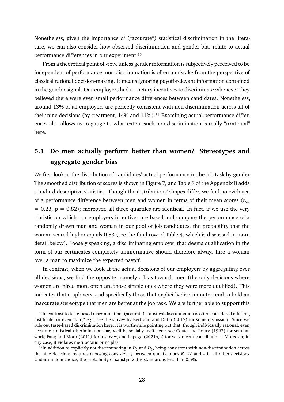Nonetheless, given the importance of ("accurate") statistical discrimination in the literature, we can also consider how observed discrimination and gender bias relate to actual performance differences in our experiment[.33](#page-28-0)

From a theoretical point of view, unless gender information is subjectively perceived to be independent of performance, non-discrimination is often a mistake from the perspective of classical rational decision-making. It means ignoring payoff-relevant information contained in the gender signal. Our employers had monetary incentives to discriminate whenever they believed there were even small performance differences between candidates. Nonetheless, around 13% of all employers are perfectly consistent with non-discrimination across all of their nine decisions (by treatment,  $14\%$  and  $11\%$ ).<sup>34</sup> Examining actual performance differences also allows us to gauge to what extent such non-discrimination is really "irrational" here.

## **5.1 Do men actually perform better than women? Stereotypes and aggregate gender bias**

We first look at the distribution of candidates' actual performance in the job task by gender. The smoothed distribution of scores is shown in Figure [7,](#page-29-0) and Table [8](#page-46-0) of the Appendix [B](#page-43-1) adds standard descriptive statistics. Though the distributions' shapes differ, we find no evidence of a performance difference between men and women in terms of their mean scores ( $t_{78}$ )  $= 0.23$ ,  $p = 0.82$ ); moreover, all three quartiles are identical. In fact, if we use the very statistic on which our employers incentives are based and compare the performance of a randomly drawn man and woman in our pool of job candidates, the probability that the woman scored higher equals 0.53 (see the final row of Table [4,](#page-31-0) which is discussed in more detail below). Loosely speaking, a discriminating employer that deems qualification in the form of our certificates completely uninformative should therefore always hire a woman over a man to maximize the expected payoff.

In contrast, when we look at the actual decisions of our employers by aggregating over all decisions, we find the opposite, namely a bias towards men (the only decisions where women are hired more often are those simple ones where they were more qualified). This indicates that employers, and specifically those that explicitly discriminate, tend to hold an inaccurate stereotype that men are better at the job task. We are further able to support this

<span id="page-28-0"></span><sup>33</sup>In contrast to taste-based discrimination, (accurate) statistical discrimination is often considered efficient, justifiable, or even "fair;" e.g., see the survey by [Bertrand and Duflo](#page-35-6) [\(2017\)](#page-35-6) for some discussion. Since we rule out taste-based discrimination here, it is worthwhile pointing out that, though individually rational, even accurate statistical discrimination may well be socially inefficient; see [Coate and Loury](#page-36-12) [\(1993\)](#page-36-12) for seminal work, [Fang and Moro](#page-37-13) [\(2011\)](#page-37-13) for a survey, and [Lepage](#page-39-11) [\(2021a](#page-39-11)[,b\)](#page-39-14) for very recent contributions. Moreover, in any case, it violates meritocratic principles.

<span id="page-28-1"></span> $34$ In addition to explicitly not discriminating in  $D_2$  and  $D_3$ , being consistent with non-discrimination across the nine decisions requires choosing consistently between qualifications *K*, *W* and – in all other decisions. Under random choice, the probability of satisfying this standard is less than 0.5%.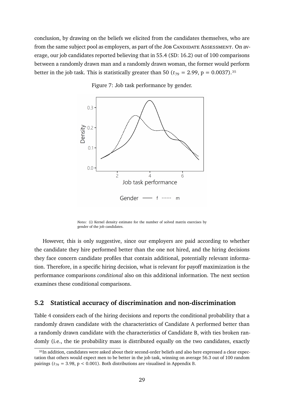conclusion, by drawing on the beliefs we elicited from the candidates themselves, who are from the same subject pool as employers, as part of the Job CANDIDATE ASSESSMENT. On average, our job candidates reported believing that in 55.4 (SD: 16.2) out of 100 comparisons between a randomly drawn man and a randomly drawn woman, the former would perform better in the job task. This is statistically greater than 50 ( $t_{79} = 2.99$ ,  $p = 0.0037$ ).<sup>35</sup>

<span id="page-29-0"></span>

Figure 7: Job task performance by gender.

*Notes:* (i) Kernel density estimate for the number of solved matrix exercises by gender of the job candidates.

However, this is only suggestive, since our employers are paid according to whether the candidate they hire performed better than the one not hired, and the hiring decisions they face concern candidate profiles that contain additional, potentially relevant information. Therefore, in a specific hiring decision, what is relevant for payoff maximization is the performance comparisons *conditional* also on this additional information. The next section examines these conditional comparisons.

## **5.2 Statistical accuracy of discrimination and non-discrimination**

Table [4](#page-31-0) considers each of the hiring decisions and reports the conditional probability that a randomly drawn candidate with the characteristics of Candidate A performed better than a randomly drawn candidate with the characteristics of Candidate B, with ties broken randomly (i.e., the tie probability mass is distributed equally on the two candidates, exactly

<span id="page-29-1"></span><sup>35</sup>In addition, candidates were asked about their second-order beliefs and also here expressed a clear expectation that others would expect men to be better in the job task, winning on average 56.3 out of 100 random pairings ( $t_{79}$  = 3.98, p < 0.001). Both distributions are visualised in Appendix [B.](#page-43-1)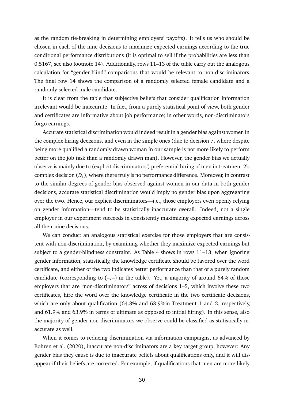as the random tie-breaking in determining employers' payoffs). It tells us who should be chosen in each of the nine decisions to maximize expected earnings according to the true conditional performance distributions (it is optimal to sell if the probabilities are less than 0.5167, see also footnote [14\)](#page-10-2). Additionally, rows 11–13 of the table carry out the analogous calculation for "gender-blind" comparisons that would be relevant to non-discriminators. The final row 14 shows the comparison of a randomly selected female candidate and a randomly selected male candidate.

It is clear from the table that subjective beliefs that consider qualification information irrelevant would be inaccurate. In fact, from a purely statistical point of view, both gender and certificates are informative about job performance; in other words, non-discriminators forgo earnings.

Accurate statistical discrimination would indeed result in a gender bias against women in the complex hiring decisions, and even in the simple ones (due to decision 7, where despite being more qualified a randomly drawn woman in our sample is not more likely to perform better on the job task than a randomly drawn man). However, the gender bias we actually observe is mainly due to (explicit discriminators') preferential hiring of men in treatment 2's complex decision  $(D_1)$ , where there truly is no performance difference. Moreover, in contrast to the similar degrees of gender bias observed against women in our data in both gender decisions, accurate statistical discrimination would imply no gender bias upon aggregating over the two. Hence, our explicit discriminators—i.e., those employers even openly relying on gender information—tend to be statistically inaccurate overall. Indeed, not a single employer in our experiment succeeds in consistently maximizing expected earnings across all their nine decisions.

We can conduct an analogous statistical exercise for those employers that are consistent with non-discrimination, by examining whether they maximize expected earnings but subject to a gender-blindness constraint. As Table [4](#page-31-0) shows in rows 11–13, when ignoring gender information, statistically, the knowledge certificate should be favored over the word certificate, and either of the two indicates better performance than that of a purely random candidate (corresponding to  $(-,-)$  in the table). Yet, a majority of around 64% of those employers that are "non-discriminators" across of decisions 1–5, which involve these two certificates, hire the word over the knowledge certificate in the two certificate decisions, which are only about qualification (64.3% and 63.9%in Treatment 1 and 2, respectively, and 61.9% and 63.9% in terms of ultimate as opposed to initial hiring). In this sense, also the majority of gender non-discriminators we observe could be classified as statistically inaccurate as well.

When it comes to reducing discrimination via information campaigns, as advanced by [Bohren et al.](#page-35-2) [\(2020\)](#page-35-2), inaccurate non-discriminators are a key target group, however: Any gender bias they cause is due to inaccurate beliefs about qualifications only, and it will disappear if their beliefs are corrected. For example, if qualifications that men are more likely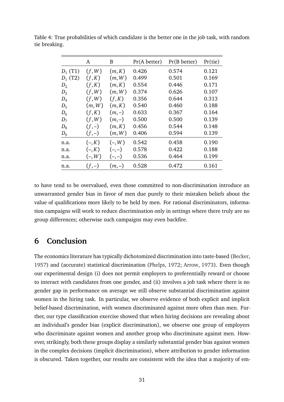|            | A        | B        | Pr(A better) | Pr(B better) | Pr(tie) |
|------------|----------|----------|--------------|--------------|---------|
| $D_1$ (T1) | (f, W)   | (m,K)    | 0.426        | 0.574        | 0.121   |
| $D_1$ (T2) | (f,K)    | (m, W)   | 0.499        | 0.501        | 0.169   |
| $D_2$      | (f,K)    | (m,K)    | 0.554        | 0.446        | 0.171   |
| $D_3$      | (f, W)   | (m, W)   | 0.374        | 0.626        | 0.107   |
| $D_4$      | (f, W)   | (f,K)    | 0.356        | 0.644        | 0.313   |
| $D_5$      | (m, W)   | (m,K)    | 0.540        | 0.460        | 0.188   |
| $D_6$      | (f,K)    | $(m,-)$  | 0.633        | 0.367        | 0.164   |
| $D_7$      | (f, W)   | $(m,-)$  | 0.500        | 0.500        | 0.139   |
| $D_8$      | $(f,-)$  | (m,K)    | 0.456        | 0.544        | 0.148   |
| $D_{9}$    | $(f,-)$  | (m, W)   | 0.406        | 0.594        | 0.139   |
| n.a.       | $(-, K)$ | $(-, W)$ | 0.542        | 0.458        | 0.190   |
| n.a.       | $(-, K)$ | $(-,-)$  | 0.578        | 0.422        | 0.188   |
| n.a.       | $(-, W)$ | $(-,-)$  | 0.536        | 0.464        | 0.199   |
| n.a.       | $(f,-)$  | $(m,-)$  | 0.528        | 0.472        | 0.161   |

<span id="page-31-0"></span>Table 4: True probabilities of which candidate is the better one in the job task, with random tie breaking.

to have tend to be overvalued, even those committed to non-discrimination introduce an unwarranted gender bias in favor of men due purely to their mistaken beliefs about the value of qualifications more likely to be held by men. For rational discriminators, information campaigns will work to reduce discrimination only in settings where there truly are no group differences; otherwise such campaigns may even backfire.

## **6 Conclusion**

The economics literature has typically dichotomized discrimination into taste-based [\(Becker,](#page-35-0) [1957\)](#page-35-0) and (accurate) statistical discrimination [\(Phelps,](#page-39-0) [1972;](#page-39-0) [Arrow,](#page-35-1) [1973\)](#page-35-1). Even though our experimental design (i) does not permit employers to preferentially reward or choose to interact with candidates from one gender, and (ii) involves a job task where there is no gender gap in performance on average we still observe substantial discrimination against women in the hiring task. In particular, we observe evidence of both explicit and implicit belief-based discrimination, with women discriminated against more often than men. Further, our type classification exercise showed that when hiring decisions are revealing about an individual's gender bias (explicit discrimination), we observe one group of employers who discriminate against women and another group who discriminate against men. However, strikingly, both these groups display a similarly substantial gender bias against women in the complex decisions (implicit discrimination), where attribution to gender information is obscured. Taken together, our results are consistent with the idea that a majority of em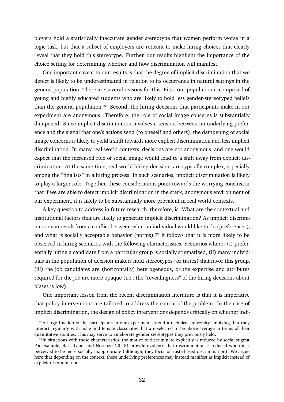ployers hold a statistically inaccurate gender stereotype that women perform worse in a logic task, but that a subset of employers are reticent to make hiring choices that clearly reveal that they hold this stereotype. Further, our results highlight the importance of the choice setting for determining whether and how discrimination will manifest.

One important caveat to our results is that the degree of implicit discrimination that we detect is likely to be underestimated in relation to its occurrence in natural settings in the general population. There are several reasons for this. First, our population is comprised of young and highly educated students who are likely to hold less gender-stereotyped beliefs than the general population.<sup>36</sup> Second, the hiring decisions that participants make in our experiment are anonymous. Therefore, the role of social image concerns is substantially dampened. Since implicit discrimination involves a tension between an underlying preference and the signal that one's actions send (to oneself and others), the dampening of social image concerns is likely to yield a shift towards more explicit discrimination and less implicit discrimination. In many real-world contexts, decisions are not anonymous, and one would expect that the increased role of social image would lead to a shift away from explicit discrimination. At the same time, real-world hiring decisions are typically complex, especially among the "finalists" in a hiring process. In such scenarios, implicit discrimination is likely to play a larger role. Together, these considerations point towards the worrying conclusion that if we are able to detect implicit discrimination in the stark, anonymous environment of our experiment, it is likely to be substantially more prevalent in real world contexts.

A key question to address in future research, therefore, is: What are the contextual and institutional factors that are likely to generate implicit discrimination? As implicit discrimination can result from a conflict between what an individual would like to do (preferences), and what is socially acceptable behavior (norms), $37$  it follows that it is more likely to be observed in hiring scenarios with the following characteristics. Scenarios where: (i) preferentially hiring a candidate from a particular group is socially stigmatized, (ii) many individuals in the population of decision makers hold stereotypes (or tastes) that favor this group, (iii) the job candidates are (horizontally) heterogeneous, or the expertise and attributes required for the job are more opaque (i.e., the "revealingness" of the hiring decisions about biases is low).

One important lesson from the recent discrimination literature is that it is imperative that policy interventions are tailored to address the source of the problem. In the case of implicit discrimination, the design of policy interventions depends critically on whether indi-

<span id="page-32-0"></span><sup>&</sup>lt;sup>36</sup>A large fraction of the participants in our experiment attend a technical university, implying that they interact regularly with male and female classmates that are selected to be above-average in terms of their quantitative abilities. This may serve to ameliorate gender stereotypes they previously held.

<span id="page-32-1"></span><sup>&</sup>lt;sup>37</sup>In situations with these characteristics, the motive to discriminate explicitly is reduced by social stigma. For example, [Barr, Lane, and Nosenzo](#page-35-14) [\(2018\)](#page-35-14) provide evidence that discrimination is reduced when it is perceived to be more socially inappropriate (although, they focus on taste-based discrimination). We argue here that depending on the context, these underlying preferences may instead manifest as implicit instead of explicit discrimination.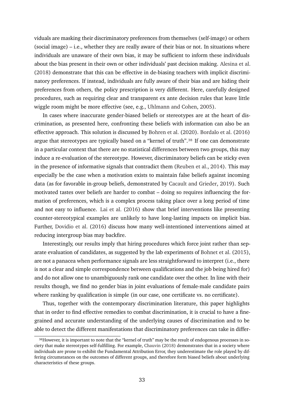viduals are masking their discriminatory preferences from themselves (self-image) or others (social image) – i.e., whether they are really aware of their bias or not. In situations where individuals are unaware of their own bias, it may be sufficient to inform these individuals about the bias present in their own or other individuals' past decision making. [Alesina et al.](#page-35-11) [\(2018\)](#page-35-11) demonstrate that this can be effective in de-biasing teachers with implicit discriminatory preferences. If instead, individuals are fully aware of their bias and are hiding their preferences from others, the policy prescription is very different. Here, carefully designed procedures, such as requiring clear and transparent ex ante decision rules that leave little wiggle room might be more effective (see, e.g., [Uhlmann and Cohen,](#page-40-4) [2005\)](#page-40-4).

In cases where inaccurate gender-biased beliefs or stereotypes are at the heart of discrimination, as presented here, confronting these beliefs with information can also be an effective approach. This solution is discussed by [Bohren et al.](#page-35-2) [\(2020\)](#page-35-2). [Bordalo et al.](#page-36-0) [\(2016\)](#page-36-0) argue that stereotypes are typically based on a "kernel of truth".<sup>38</sup> If one can demonstrate in a particular context that there are no statistical differences between two groups, this may induce a re-evaluation of the stereotype. However, discriminatory beliefs can be sticky even in the presence of informative signals that contradict them [\(Reuben et al.,](#page-39-8) [2014\)](#page-39-8). This may especially be the case when a motivation exists to maintain false beliefs against incoming data (as for favorable in-group beliefs, demonstrated by [Cacault and Grieder,](#page-36-13) [2019\)](#page-36-13). Such motivated tastes over beliefs are harder to combat – doing so requires influencing the formation of preferences, which is a complex process taking place over a long period of time and not easy to influence. [Lai et al.](#page-38-12) [\(2016\)](#page-38-12) show that brief interventions like presenting counter-stereotypical examples are unlikely to have long-lasting impacts on implicit bias. Further, [Dovidio et al.](#page-37-14) [\(2016\)](#page-37-14) discuss how many well-intentioned interventions aimed at reducing intergroup bias may backfire.

Interestingly, our results imply that hiring procedures which force joint rather than separate evaluation of candidates, as suggested by the lab experiments of [Bohnet et al.](#page-35-5) [\(2015\)](#page-35-5), are not a panacea when performance signals are less straightforward to interpret (i.e., there is not a clear and simple correspondence between qualifications and the job being hired for) and do not allow one to unambiguously rank one candidate over the other. In line with their results though, we find no gender bias in joint evaluations of female-male candidate pairs where ranking by qualification is simple (in our case, one certificate vs. no certificate).

Thus, together with the contemporary discrimination literature, this paper highlights that in order to find effective remedies to combat discrimination, it is crucial to have a finegrained and accurate understanding of the underlying causes of discrimination and to be able to detect the different manifestations that discriminatory preferences can take in differ-

<span id="page-33-0"></span><sup>38</sup> However, it is important to note that the "kernel of truth" may be the result of endogenous processes in society that make stereotypes self-fulfilling. For example, [Chauvin](#page-36-14) [\(2018\)](#page-36-14) demonstrates that in a society where individuals are prone to exhibit the Fundamental Attribution Error, they underestimate the role played by differing circumstances on the outcomes of different groups, and therefore form biased beliefs about underlying characteristics of these groups.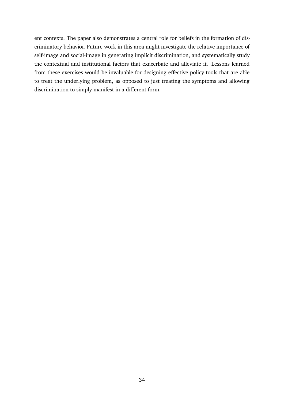ent contexts. The paper also demonstrates a central role for beliefs in the formation of discriminatory behavior. Future work in this area might investigate the relative importance of self-image and social-image in generating implicit discrimination, and systematically study the contextual and institutional factors that exacerbate and alleviate it. Lessons learned from these exercises would be invaluable for designing effective policy tools that are able to treat the underlying problem, as opposed to just treating the symptoms and allowing discrimination to simply manifest in a different form.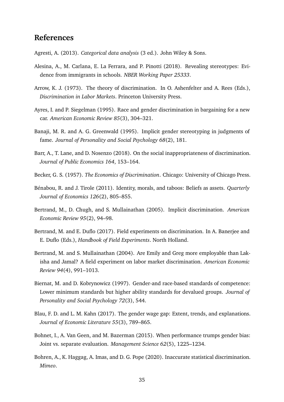## **References**

- <span id="page-35-12"></span>Agresti, A. (2013). *Categorical data analysis* (3 ed.). John Wiley & Sons.
- <span id="page-35-11"></span>Alesina, A., M. Carlana, E. La Ferrara, and P. Pinotti (2018). Revealing stereotypes: Evidence from immigrants in schools. *NBER Working Paper 25333*.
- <span id="page-35-1"></span>Arrow, K. J. (1973). The theory of discrimination. In O. Ashenfelter and A. Rees (Eds.), *Discrimination in Labor Markets*. Princeton University Press.
- <span id="page-35-8"></span>Ayres, I. and P. Siegelman (1995). Race and gender discrimination in bargaining for a new car. *American Economic Review 85*(3), 304–321.
- <span id="page-35-3"></span>Banaji, M. R. and A. G. Greenwald (1995). Implicit gender stereotyping in judgments of fame. *Journal of Personality and Social Psychology 68*(2), 181.
- <span id="page-35-14"></span>Barr, A., T. Lane, and D. Nosenzo (2018). On the social inappropriateness of discrimination. *Journal of Public Economics 164*, 153–164.
- <span id="page-35-0"></span>Becker, G. S. (1957). *The Economics of Discrimination*. Chicago: University of Chicago Press.
- <span id="page-35-13"></span>Bénabou, R. and J. Tirole (2011). Identity, morals, and taboos: Beliefs as assets. *Quarterly Journal of Economics 126*(2), 805–855.
- <span id="page-35-4"></span>Bertrand, M., D. Chugh, and S. Mullainathan (2005). Implicit discrimination. *American Economic Review 95*(2), 94–98.
- <span id="page-35-6"></span>Bertrand, M. and E. Duflo (2017). Field experiments on discrimination. In A. Banerjee and E. Duflo (Eds.), *Handbook of Field Experiments*. North Holland.
- <span id="page-35-10"></span>Bertrand, M. and S. Mullainathan (2004). Are Emily and Greg more employable than Lakisha and Jamal? A field experiment on labor market discrimination. *American Economic Review 94*(4), 991–1013.
- <span id="page-35-9"></span>Biernat, M. and D. Kobrynowicz (1997). Gender-and race-based standards of competence: Lower minimum standards but higher ability standards for devalued groups. *Journal of Personality and Social Psychology 72*(3), 544.
- <span id="page-35-7"></span>Blau, F. D. and L. M. Kahn (2017). The gender wage gap: Extent, trends, and explanations. *Journal of Economic Literature 55*(3), 789–865.
- <span id="page-35-5"></span>Bohnet, I., A. Van Geen, and M. Bazerman (2015). When performance trumps gender bias: Joint vs. separate evaluation. *Management Science 62*(5), 1225–1234.
- <span id="page-35-2"></span>Bohren, A., K. Haggag, A. Imas, and D. G. Pope (2020). Inaccurate statistical discrimination. *Mimeo*.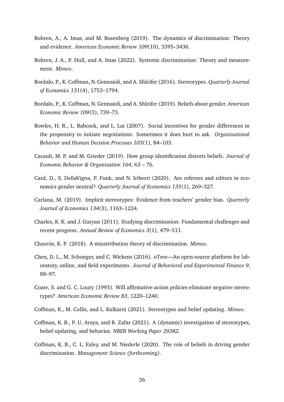- <span id="page-36-6"></span>Bohren, A., A. Imas, and M. Rosenberg (2019). The dynamics of discrimination: Theory and evidence. *American Economic Review 109*(10), 3395–3436.
- <span id="page-36-10"></span>Bohren, J. A., P. Hull, and A. Imas (2022). Systemic discrimination: Theory and measurement. *Mimeo*.
- <span id="page-36-0"></span>Bordalo, P., K. Coffman, N. Gennaioli, and A. Shleifer (2016). Stereotypes. *Quarterly Journal of Economics 131*(4), 1753–1794.
- <span id="page-36-7"></span>Bordalo, P., K. Coffman, N. Gennaioli, and A. Shleifer (2019). Beliefs about gender. *American Economic Review 109*(3), 739–73.
- <span id="page-36-3"></span>Bowles, H. R., L. Babcock, and L. Lai (2007). Social incentives for gender differences in the propensity to initiate negotiations: Sometimes it does hurt to ask. *Organizational Behavior and Human Decision Processes 103*(1), 84–103.
- <span id="page-36-13"></span>Cacault, M. P. and M. Grieder (2019). How group identification distorts beliefs. *Journal of Economic Behavior & Organization 164*, 63 – 76.
- <span id="page-36-5"></span>Card, D., S. DellaVigna, P. Funk, and N. Iriberri (2020). Are referees and editors in economics gender neutral? *Quarterly Journal of Economics 135*(1), 269–327.
- <span id="page-36-1"></span>Carlana, M. (2019). Implicit stereotypes: Evidence from teachers' gender bias. *Quarterly Journal of Economics 134*(3), 1163–1224.
- <span id="page-36-2"></span>Charles, K. K. and J. Guryan (2011). Studying discrimination: Fundamental challenges and recent progress. *Annual Review of Economics 3*(1), 479–511.
- <span id="page-36-14"></span>Chauvin, K. P. (2018). A misattribution theory of discrimination. *Mimeo*.
- <span id="page-36-11"></span>Chen, D. L., M. Schonger, and C. Wickens (2016). oTree—An open-source platform for laboratory, online, and field experiments. *Journal of Behavioral and Experimental Finance 9*, 88–97.
- <span id="page-36-12"></span>Coate, S. and G. C. Loury (1993). Will affirmative-action policies eliminate negative stereotypes? *American Economic Review 83*, 1220–1240.
- <span id="page-36-8"></span>Coffman, K., M. Collis, and L. Kulkarni (2021). Stereotypes and belief updating. *Mimeo*.
- <span id="page-36-9"></span>Coffman, K. B., P. U. Araya, and B. Zafar (2021). A (dynamic) investigation of stereotypes, belief-updating, and behavior. *NBER Working Paper 29382*.
- <span id="page-36-4"></span>Coffman, K. B., C. L. Exley, and M. Niederle (2020). The role of beliefs in driving gender discrimination. *Management Science (forthcoming)*.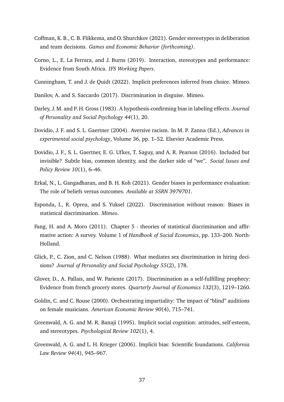- <span id="page-37-4"></span>Coffman, K. B., C. B. Flikkema, and O. Shurchkov (2021). Gender stereotypes in deliberation and team decisions. *Games and Economic Behavior (forthcoming)*.
- <span id="page-37-8"></span>Corno, L., E. La Ferrara, and J. Burns (2019). Interaction, stereotypes and performance: Evidence from South Africa. *IFS Working Papers*.
- <span id="page-37-1"></span>Cunningham, T. and J. de Quidt (2022). Implicit preferences inferred from choice. Mimeo.
- <span id="page-37-0"></span>Danilov, A. and S. Saccardo (2017). Discrimination in disguise. Mimeo.
- <span id="page-37-9"></span>Darley, J. M. and P. H. Gross (1983). A hypothesis-confirming bias in labeling effects. *Journal of Personality and Social Psychology 44*(1), 20.
- <span id="page-37-11"></span>Dovidio, J. F. and S. L. Gaertner (2004). Aversive racism. In M. P. Zanna (Ed.), *Advances in experimental social psychology*, Volume 36, pp. 1–52. Elsevier Academic Press.
- <span id="page-37-14"></span>Dovidio, J. F., S. L. Gaertner, E. G. Ufkes, T. Saguy, and A. R. Pearson (2016). Included but invisible? Subtle bias, common identity, and the darker side of "we". *Social Issues and Policy Review 10*(1), 6–46.
- <span id="page-37-5"></span>Erkal, N., L. Gangadharan, and B. H. Koh (2021). Gender biases in performance evaluation: The role of beliefs versus outcomes. *Available at SSRN 3979701*.
- <span id="page-37-6"></span>Esponda, I., R. Oprea, and S. Yuksel (2022). Discrimination without reason: Biases in statistical discrimination. *Mimeo*.
- <span id="page-37-13"></span>Fang, H. and A. Moro (2011). Chapter 5 - theories of statistical discrimination and affirmative action: A survey. Volume 1 of *Handbook of Social Economics*, pp. 133–200. North-Holland.
- <span id="page-37-2"></span>Glick, P., C. Zion, and C. Nelson (1988). What mediates sex discrimination in hiring decisions? *Journal of Personality and Social Psychology 55*(2), 178.
- <span id="page-37-7"></span>Glover, D., A. Pallais, and W. Pariente (2017). Discrimination as a self-fulfilling prophecy: Evidence from french grocery stores. *Quarterly Journal of Economics 132*(3), 1219–1260.
- <span id="page-37-3"></span>Goldin, C. and C. Rouse (2000). Orchestrating impartiality: The impact of "blind" auditions on female musicians. *American Economic Review 90*(4), 715–741.
- <span id="page-37-10"></span>Greenwald, A. G. and M. R. Banaji (1995). Implicit social cognition: attitudes, self-esteem, and stereotypes. *Psychological Review 102*(1), 4.
- <span id="page-37-12"></span>Greenwald, A. G. and L. H. Krieger (2006). Implicit bias: Scientific foundations. *California Law Review 94*(4), 945–967.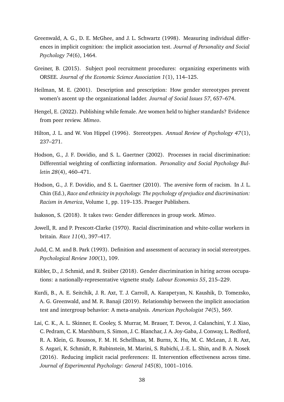- <span id="page-38-9"></span>Greenwald, A. G., D. E. McGhee, and J. L. Schwartz (1998). Measuring individual differences in implicit cognition: the implicit association test. *Journal of Personality and Social Psychology 74*(6), 1464.
- <span id="page-38-11"></span>Greiner, B. (2015). Subject pool recruitment procedures: organizing experiments with ORSEE. *Journal of the Economic Science Association 1*(1), 114–125.
- <span id="page-38-2"></span>Heilman, M. E. (2001). Description and prescription: How gender stereotypes prevent women's ascent up the organizational ladder. *Journal of Social Issues 57*, 657–674.
- <span id="page-38-7"></span>Hengel, E. (2022). Publishing while female. Are women held to higher standards? Evidence from peer review. *Mimeo*.
- <span id="page-38-1"></span>Hilton, J. L. and W. Von Hippel (1996). Stereotypes. *Annual Review of Psychology 47*(1), 237–271.
- <span id="page-38-8"></span>Hodson, G., J. F. Dovidio, and S. L. Gaertner (2002). Processes in racial discrimination: Differential weighting of conflicting information. *Personality and Social Psychology Bulletin 28*(4), 460–471.
- <span id="page-38-3"></span>Hodson, G., J. F. Dovidio, and S. L. Gaertner (2010). The aversive form of racism. In J. L. Chin (Ed.), *Race and ethnicity in psychology. The psychology of prejudice and discrimination: Racism in America*, Volume 1, pp. 119–135. Praeger Publishers.
- <span id="page-38-6"></span>Isaksson, S. (2018). It takes two: Gender differences in group work. *Mimeo*.
- <span id="page-38-4"></span>Jowell, R. and P. Prescott-Clarke (1970). Racial discrimination and white-collar workers in britain. *Race 11*(4), 397–417.
- <span id="page-38-0"></span>Judd, C. M. and B. Park (1993). Definition and assessment of accuracy in social stereotypes. *Psychological Review 100*(1), 109.
- <span id="page-38-5"></span>Kübler, D., J. Schmid, and R. Stüber (2018). Gender discrimination in hiring across occupations: a nationally-representative vignette study. *Labour Economics 55*, 215–229.
- <span id="page-38-10"></span>Kurdi, B., A. E. Seitchik, J. R. Axt, T. J. Carroll, A. Karapetyan, N. Kaushik, D. Tomezsko, A. G. Greenwald, and M. R. Banaji (2019). Relationship between the implicit association test and intergroup behavior: A meta-analysis. *American Psychologist 74*(5), 569.
- <span id="page-38-12"></span>Lai, C. K., A. L. Skinner, E. Cooley, S. Murrar, M. Brauer, T. Devos, J. Calanchini, Y. J. Xiao, C. Pedram, C. K. Marshburn, S. Simon, J. C. Blanchar, J. A. Joy-Gaba, J. Conway, L. Redford, R. A. Klein, G. Roussos, F. M. H. Schellhaas, M. Burns, X. Hu, M. C. McLean, J. R. Axt, S. Asgari, K. Schmidt, R. Rubinstein, M. Marini, S. Rubichi, J.-E. L. Shin, and B. A. Nosek (2016). Reducing implicit racial preferences: II. Intervention effectiveness across time. *Journal of Experimental Psychology: General 145*(8), 1001–1016.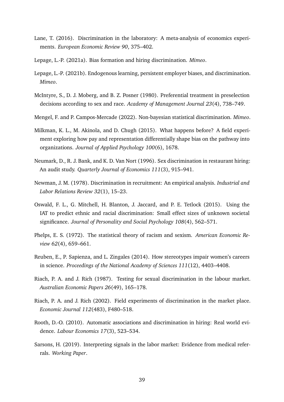- <span id="page-39-3"></span>Lane, T. (2016). Discrimination in the laboratory: A meta-analysis of economics experiments. *European Economic Review 90*, 375–402.
- <span id="page-39-11"></span>Lepage, L.-P. (2021a). Bias formation and hiring discrimination. *Mimeo*.
- <span id="page-39-14"></span>Lepage, L.-P. (2021b). Endogenous learning, persistent employer biases, and discrimination. *Mimeo*.
- <span id="page-39-5"></span>McIntyre, S., D. J. Moberg, and B. Z. Posner (1980). Preferential treatment in preselection decisions according to sex and race. *Academy of Management Journal 23*(4), 738–749.
- <span id="page-39-1"></span>Mengel, F. and P. Campos-Mercade (2022). Non-bayesian statistical discrimination. *Mimeo*.
- <span id="page-39-9"></span>Milkman, K. L., M. Akinola, and D. Chugh (2015). What happens before? A field experiment exploring how pay and representation differentially shape bias on the pathway into organizations. *Journal of Applied Psychology 100*(6), 1678.
- <span id="page-39-7"></span>Neumark, D., R. J. Bank, and K. D. Van Nort (1996). Sex discrimination in restaurant hiring: An audit study. *Quarterly Journal of Economics 111*(3), 915–941.
- <span id="page-39-4"></span>Newman, J. M. (1978). Discrimination in recruitment: An empirical analysis. *Industrial and Labor Relations Review 32*(1), 15–23.
- <span id="page-39-12"></span>Oswald, F. L., G. Mitchell, H. Blanton, J. Jaccard, and P. E. Tetlock (2015). Using the IAT to predict ethnic and racial discrimination: Small effect sizes of unknown societal significance. *Journal of Personality and Social Psychology 108*(4), 562–571.
- <span id="page-39-0"></span>Phelps, E. S. (1972). The statistical theory of racism and sexism. *American Economic Review 62*(4), 659–661.
- <span id="page-39-8"></span>Reuben, E., P. Sapienza, and L. Zingales (2014). How stereotypes impair women's careers in science. *Proceedings of the National Academy of Sciences 111*(12), 4403–4408.
- <span id="page-39-6"></span>Riach, P. A. and J. Rich (1987). Testing for sexual discrimination in the labour market. *Australian Economic Papers 26*(49), 165–178.
- <span id="page-39-2"></span>Riach, P. A. and J. Rich (2002). Field experiments of discrimination in the market place. *Economic Journal 112*(483), F480–518.
- <span id="page-39-13"></span>Rooth, D.-O. (2010). Automatic associations and discrimination in hiring: Real world evidence. *Labour Economics 17*(3), 523–534.
- <span id="page-39-10"></span>Sarsons, H. (2019). Interpreting signals in the labor market: Evidence from medical referrals. *Working Paper*.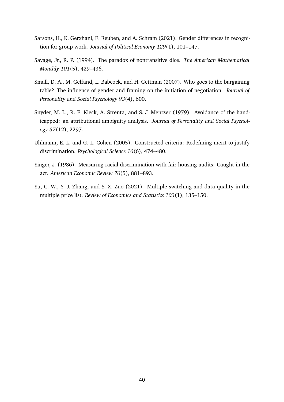- <span id="page-40-3"></span>Sarsons, H., K. Gërxhani, E. Reuben, and A. Schram (2021). Gender differences in recognition for group work. *Journal of Political Economy 129*(1), 101–147.
- <span id="page-40-6"></span>Savage, Jr., R. P. (1994). The paradox of nontransitive dice. *The American Mathematical Monthly 101*(5), 429–436.
- <span id="page-40-1"></span>Small, D. A., M. Gelfand, L. Babcock, and H. Gettman (2007). Who goes to the bargaining table? The influence of gender and framing on the initiation of negotiation. *Journal of Personality and Social Psychology 93*(4), 600.
- <span id="page-40-0"></span>Snyder, M. L., R. E. Kleck, A. Strenta, and S. J. Mentzer (1979). Avoidance of the handicapped: an attributional ambiguity analysis. *Journal of Personality and Social Psychology 37*(12), 2297.
- <span id="page-40-4"></span>Uhlmann, E. L. and G. L. Cohen (2005). Constructed criteria: Redefining merit to justify discrimination. *Psychological Science 16*(6), 474–480.
- <span id="page-40-2"></span>Yinger, J. (1986). Measuring racial discrimination with fair housing audits: Caught in the act. *American Economic Review 76*(5), 881–893.
- <span id="page-40-5"></span>Yu, C. W., Y. J. Zhang, and S. X. Zuo (2021). Multiple switching and data quality in the multiple price list. *Review of Economics and Statistics 103*(1), 135–150.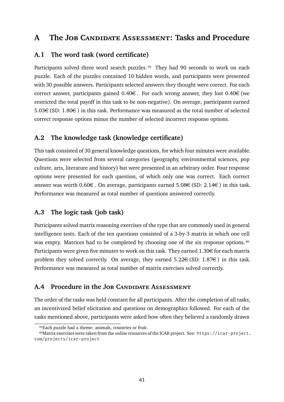## <span id="page-41-0"></span>**A The Job Candidate Assessment: Tasks and Procedure**

## **A.1 The word task (word certificate)**

Participants solved three word search puzzles.<sup>39</sup> They had 90 seconds to work on each puzzle. Each of the puzzles contained 10 hidden words, and participants were presented with 30 possible answers. Participants selected answers they thought were correct. For each correct answer, participants gained  $0.40\epsilon$ . For each wrong answer, they lost  $0.40\epsilon$  (we restricted the total payoff in this task to be non-negative). On average, participants earned 5.03€(SD: 1.80€) in this task. Performance was measured as the total number of selected correct response options minus the number of selected incorrect response options.

## **A.2 The knowledge task (knowledge certificate)**

This task consisted of 30 general knowledge questions, for which four minutes were available. Questions were selected from several categories (geography, environmental sciences, pop culture, arts, literature and history) but were presented in an arbitrary order. Four response options were presented for each question, of which only one was correct. Each correct answer was worth 0.60€. On average, participants earned 5.08€(SD: 2.14€) in this task. Performance was measured as total number of questions answered correctly.

## **A.3 The logic task (job task)**

Participants solved matrix reasoning exercises of the type that are commonly used in general intelligence tests. Each of the ten questions consisted of a 3-by-3 matrix in which one cell was empty. Matrices had to be completed by choosing one of the six response options.<sup>40</sup> Participants were given five minutes to work on this task. They earned  $1.30 \in$  for each matrix problem they solved correctly. On average, they earned  $5.22 \in (\text{SD: } 1.87 \in)$  in this task. Performance was measured as total number of matrix exercises solved correctly.

## **A.4 Procedure in the Job Candidate Assessment**

The order of the tasks was held constant for all participants. After the completion of all tasks, an incentivized belief elicitation and questions on demographics followed. For each of the tasks mentioned above, participants were asked how often they believed a randomly drawn

<span id="page-41-2"></span><span id="page-41-1"></span><sup>&</sup>lt;sup>39</sup>Each puzzle had a theme: animals, countries or fruit.

<sup>&</sup>lt;sup>40</sup>Matrix exercises were taken from the online resources of the ICAR project. See: [https://icar-project.](https://icar-project.com/projects/icar-project) [com/projects/icar-project](https://icar-project.com/projects/icar-project)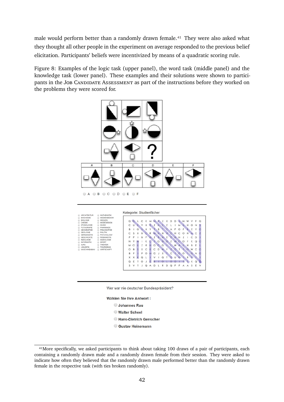male would perform better than a randomly drawn female.<sup>41</sup> They were also asked what they thought all other people in the experiment on average responded to the previous belief elicitation. Participants' beliefs were incentivized by means of a quadratic scoring rule.

Figure 8: Examples of the logic task (upper panel), the word task (middle panel) and the knowledge task (lower panel). These examples and their solutions were shown to participants in the JOB CANDIDATE ASSESSMENT as part of the instructions before they worked on the problems they were scored for.







Wählen Sie Ihre Antwort:

- **Johannes Rau**
- **Walter Scheel**
- Hans-Dietrich Genscher
- Gustav Heinemann

<span id="page-42-0"></span><sup>&</sup>lt;sup>41</sup>More specifically, we asked participants to think about taking 100 draws of a pair of participants, each containing a randomly drawn male and a randomly drawn female from their session. They were asked to indicate how often they believed that the randomly drawn male performed better than the randomly drawn female in the respective task (with ties broken randomly).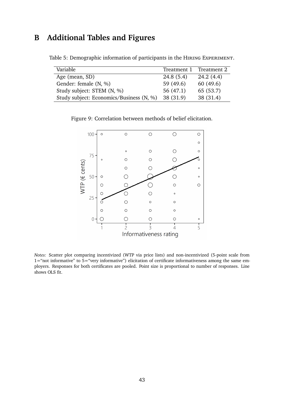## <span id="page-43-1"></span>**B Additional Tables and Figures**

| Variable                                 | Treatment 1 Treatment 2 |           |
|------------------------------------------|-------------------------|-----------|
| Age (mean, SD)                           | 24.8(5.4)               | 24.2(4.4) |
| Gender: female (N, %)                    | 59 (49.6)               | 60(49.6)  |
| Study subject: STEM (N, %)               | 56(47.1)                | 65 (53.7) |
| Study subject: Economics/Business (N, %) | 38 (31.9)               | 38 (31.4) |

<span id="page-43-0"></span>Table 5: Demographic information of participants in the HIRING EXPERIMENT.

<span id="page-43-2"></span>Figure 9: Correlation between methods of belief elicitation.



*Notes:* Scatter plot comparing incentivized (WTP via price lists) and non-incentivized (5-point scale from 1="not informative" to 5="very informative") elicitation of certificate informativeness among the same employers. Responses for both certificates are pooled. Point size is proportional to number of responses. Line shows OLS fit.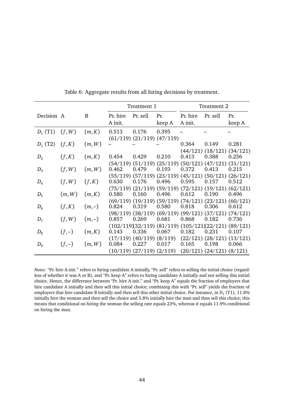|            |         |         | Treatment 1 |                                  | Treatment 2 |          |                                                                            |        |
|------------|---------|---------|-------------|----------------------------------|-------------|----------|----------------------------------------------------------------------------|--------|
| Decision A |         | B       | Pr. hire    | Pr. sell                         | Pr.         | Pr. hire | Pr. sell                                                                   | Pr.    |
|            |         |         | A init.     |                                  | keep A      | A init.  |                                                                            | keep A |
| $D_1$ (T1) | (f, W)  | (m,K)   | 0.513       | 0.176                            | 0.395       |          |                                                                            |        |
|            |         |         |             | $(61/119)$ $(21/119)$ $(47/119)$ |             |          |                                                                            |        |
| $D_1$ (T2) | (f,K)   | (m, W)  |             |                                  |             | 0.364    | 0.149                                                                      | 0.281  |
|            |         |         |             |                                  |             |          | $(44/121)$ $(18/121)$ $(34/121)$                                           |        |
| $D_2$      | (f,K)   | (m,K)   | 0.454       | 0.429                            | 0.210       | 0.413    | 0.388                                                                      | 0.256  |
| $D_3$      | (f, W)  | (m, W)  | 0.462       | 0.479                            | 0.193       | 0.372    | $(54/119)$ $(51/119)$ $(25/119)$ $(50/121)$ $(47/121)$ $(31/121)$<br>0.413 | 0.215  |
|            |         |         |             |                                  |             |          | $(55/119)$ $(57/119)$ $(23/119)$ $(45/121)$ $(50/121)$ $(26/121)$          |        |
| $D_4$      | (f, W)  | (f,K)   | 0.630       | 0.176                            | 0.496       | 0.595    | 0.157                                                                      | 0.512  |
|            |         |         |             |                                  |             |          | $(75/119)$ $(21/119)$ $(59/119)$ $(72/121)$ $(19/121)$ $(62/121)$          |        |
| $D_5$      | (m, W)  | (m,K)   | 0.580       | 0.160                            | 0.496       | 0.612    | 0.190                                                                      | 0.496  |
|            |         |         |             |                                  |             |          | $(69/119)$ $(19/119)$ $(59/119)$ $(74/121)$ $(23/121)$ $(60/121)$          |        |
| $D_6$      | (f,K)   | $(m,-)$ | 0.824       | 0.319                            | 0.580       | 0.818    | 0.306                                                                      | 0.612  |
|            |         |         |             |                                  |             |          | $(98/119)$ $(38/119)$ $(69/119)$ $(99/121)$ $(37/121)$ $(74/121)$          |        |
| $D_7$      | (f, W)  | $(m,-)$ | 0.857       | 0.269                            | 0.681       | 0.868    | 0.182                                                                      | 0.736  |
|            |         |         |             |                                  |             |          | $(102/119)(32/119)$ $(81/119)$ $(105/121)(22/121)$ $(89/121)$              |        |
| $D_8$      | $(f,-)$ | (m,K)   | 0.143       | 0.336                            | 0.067       | 0.182    | 0.231                                                                      | 0.107  |
|            |         |         |             |                                  |             |          | $(17/119)$ $(40/119)$ $(8/119)$ $(22/121)$ $(28/121)$ $(13/121)$           |        |
| $D_{9}$    | $(f,-)$ | (m, W)  | 0.084       | 0.227                            | 0.017       | 0.165    | 0.198                                                                      | 0.066  |
|            |         |         |             |                                  |             |          | $(10/119)$ $(27/119)$ $(2/119)$ $(20/121)$ $(24/121)$ $(8/121)$            |        |

Table 6: Aggregate results from all hiring decisions by treatment.

*Notes:* "Pr. hire A init." refers to hiring candidate A initially, "Pr. sell" refers to selling the initial choice (regardless of whether it was A or B), and "Pr. keep A" refers to hiring candidate A initially and not selling this initial choice. Hence, the difference between "Pr. hire A init." and "Pr. keep A" equals the fraction of employers that hire candidate A initially and then sell this initial choice; combining this with "Pr. sell" yields the fraction of employers that hire candidate B initially and then sell this other initial choice. For instance, in  $D_1$  (T1), 11.8% initially hire the woman and then sell the choice and 5.8% initially hire the man and then sell this choice; this means that conditional on hiring the woman the selling rate equals 23%, whereas it equals 11.9% conditional on hiring the man.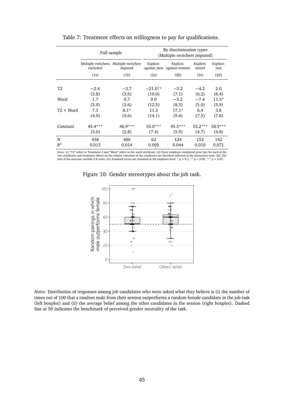<span id="page-45-0"></span>

|                  |                                | Full sample                   | By discrimination types<br>(Multiple switchers imputed) |                            |                    |                  |
|------------------|--------------------------------|-------------------------------|---------------------------------------------------------|----------------------------|--------------------|------------------|
|                  | Multiple switchers<br>excluded | Multiple switchers<br>imputed | Explicit:<br>against men                                | Explicit:<br>against women | Explicit:<br>mixed | Explicit:<br>non |
|                  | (1a)                           | (1b)                          | (2a)                                                    | (2b)                       | (2c)               | (2d)             |
|                  |                                |                               |                                                         |                            |                    |                  |
| T2               | $-2.4$                         | $-3.7$                        | $-21.0**$                                               | $-3.2$                     | $-4.2$             | 2.0              |
|                  | (3.8)                          | (3.6)                         | (10.0)                                                  | (7.1)                      | (6.2)              | (6.4)            |
| Word             | 1.7                            | 0.7                           | 0.0                                                     | $-3.2$                     | $-7.4$             | $11.3*$          |
|                  | (3.9)                          | (3.6)                         | (12.5)                                                  | (8.3)                      | (5.0)              | (5.9)            |
| $T2 \times Word$ | 7.3                            | $8.1*$                        | 11.3                                                    | $17.1*$                    | 6.4                | 3.8              |
|                  | (4.9)                          | (4.6)                         | (14.1)                                                  | (9.4)                      | (7.5)              | (7.8)            |
| Constant         | 45.4***                        | 46.9***                       | $55.0***$                                               | $45.5***$                  | $53.2***$          | 38.9***          |
|                  | (3.0)                          | (2.8)                         | (7.4)                                                   | (5.9)                      | (4.7)              | (4.8)            |
| N                | 438                            | 480                           | 62                                                      | 124                        | 152                | 142              |
| $R^2$            | 0.015                          | 0.014                         | 0.095                                                   | 0.044                      | 0.010              | 0.071            |

#### Table 7: Treatment effects on willingness to pay for qualifications.

Notes: (i) "T2" refers to Treatment 2 and "Word" refers to the word certificate, (ii) Every employer completed price lists for each of the<br>two certificates and treatment effects on the relative valuation of the certificate unit of the outcome variable is €cents, (iv) Standard errors are clustered at the employer level. \* p *<sup>&</sup>lt;* 0.1, \*\* p *<sup>&</sup>lt;* 0.05, \*\*\* p *<sup>&</sup>lt;* 0.01.



Figure 10: Gender stereotypes about the job task.



*Notes:* Distribution of responses among job candidates who were asked what they believe is (i) the number of times out of 100 that a random male from their session outperforms a random female candidate in the job task (left boxplot) and (ii) the average belief among the other candidates in the session (right boxplot). Dashed line at 50 indicates the benchmark of perceived gender neutrality of the task.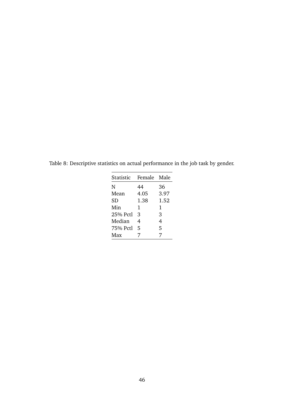| Female Male |      |
|-------------|------|
| 44          | 36   |
| 4.05        | 3.97 |
| 1.38        | 1.52 |
| 1           | 1    |
| 3           | 3    |
| 4           | 4    |
| 5           | 5    |
| 7           | 7    |
|             |      |

<span id="page-46-0"></span>Table 8: Descriptive statistics on actual performance in the job task by gender.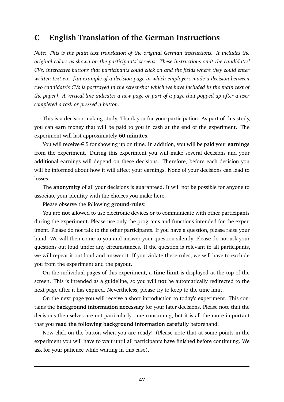## **C English Translation of the German Instructions**

*Note: This is the plain text translation of the original German instructions. It includes the original colors as shown on the participants' screens. These instructions omit the candidates' CVs, interactive buttons that participants could click on and the fields where they could enter written text etc. [an example of a decision page in which employers made a decision between two candidate's CVs is portrayed in the screenshot which we have included in the main text of the paper]. A vertical line indicates a new page or part of a page that popped up after a user completed a task or pressed a button.*

This is a decision making study. Thank you for your participation. As part of this study, you can earn money that will be paid to you in cash at the end of the experiment. The experiment will last approximately **60 minutes**.

You will receive €5 for showing up on time. In addition, you will be paid your **earnings** from the experiment. During this experiment you will make several decisions and your additional earnings will depend on these decisions. Therefore, before each decision you will be informed about how it will affect your earnings. None of your decisions can lead to losses.

The **anonymity** of all your decisions is guaranteed. It will not be possible for anyone to associate your identity with the choices you make here.

Please observe the following **ground-rules**:

You are **not** allowed to use electronic devices or to communicate with other participants during the experiment. Please use only the programs and functions intended for the experiment. Please do not talk to the other participants. If you have a question, please raise your hand. We will then come to you and answer your question silently. Please do not ask your questions out loud under any circumstances. If the question is relevant to all participants, we will repeat it out loud and answer it. If you violate these rules, we will have to exclude you from the experiment and the payout.

On the individual pages of this experiment, a **time limit** is displayed at the top of the screen. This is intended as a guideline, so you will **not** be automatically redirected to the next page after it has expired. Nevertheless, please try to keep to the time limit.

On the next page you will receive a short introduction to today's experiment. This contains the **background information necessary** for your later decisions. Please note that the decisions themselves are not particularly time-consuming, but it is all the more important that you **read the following background information carefully** beforehand.

Now click on the button when you are ready! (Please note that at some points in the experiment you will have to wait until all participants have finished before continuing. We ask for your patience while waiting in this case).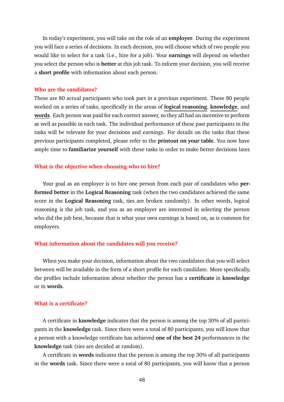In today's experiment, you will take on the role of an **employer**. During the experiment you will face a series of decisions. In each decision, you will choose which of two people you would like to select for a task (i.e., hire for a job). Your **earnings** will depend on whether you select the person who is **better** at this job task. To inform your decision, you will receive a **short profile** with information about each person.

#### **Who are the candidates?**

These are 80 actual participants who took part in a previous experiment. These 80 people worked on a series of tasks, specifically in the areas of **logical reasoning**, **knowledge**, and **words**. Each person was paid for each correct answer, so they all had an incentive to perform as well as possible in each task. The individual performance of these past participants in the tasks will be relevant for your decisions and earnings. For details on the tasks that these previous participants completed, please refer to the **printout on your table**. You now have ample time to **familiarize yourself** with these tasks in order to make better decisions later.

#### **What is the objective when choosing who to hire?**

Your goal as an employer is to hire one person from each pair of candidates who **performed better** in the **Logical Reasoning** task (when the two candidates achieved the same score in the **Logical Reasoning** task, ties are broken randomly). In other words, logical reasoning is the job task, and you as an employer are interested in selecting the person who did the job best, because that is what your own earnings is based on, as is common for employers.

#### **What information about the candidates will you receive?**

When you make your decision, information about the two candidates that you will select between will be available in the form of a short profile for each candidate. More specifically, the profiles include information about whether the person has a **certificate** in **knowledge** or in **words**.

#### **What is a certificate?**

A certificate in **knowledge** indicates that the person is among the top 30% of all participants in the **knowledge** task. Since there were a total of 80 participants, you will know that a person with a knowledge certificate has achieved **one of the best 24** performances in the **knowledge** task (ties are decided at random).

A certificate in **words** indicates that the person is among the top 30% of all participants in the **words** task. Since there were a total of 80 participants, you will know that a person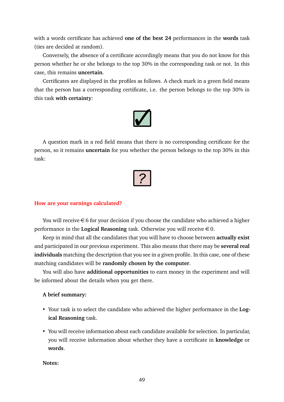with a words certificate has achieved **one of the best 24** performances in the **words** task (ties are decided at random).

Conversely, the absence of a certificate accordingly means that you do not know for this person whether he or she belongs to the top 30% in the corresponding task or not. In this case, this remains **uncertain**.

Certificates are displayed in the profiles as follows. A check mark in a green field means that the person has a corresponding certificate, i.e. the person belongs to the top 30% in this task **with certainty**:



A question mark in a red field means that there is no corresponding certificate for the person, so it remains **uncertain** for you whether the person belongs to the top 30% in this task:



#### **How are your earnings calculated?**

You will receive  $\epsilon$  6 for your decision if you choose the candidate who achieved a higher performance in the **Logical Reasoning** task. Otherwise you will receive  $\in$  0.

Keep in mind that all the candidates that you will have to choose between **actually exist** and participated in our previous experiment. This also means that there may be **several real individuals** matching the description that you see in a given profile. In this case, one of these matching candidates will be **randomly chosen by the computer**.

You will also have **additional opportunities** to earn money in the experiment and will be informed about the details when you get there.

#### **A brief summary:**

- Your task is to select the candidate who achieved the higher performance in the **Logical Reasoning** task.
- You will receive information about each candidate available for selection. In particular, you will receive information about whether they have a certificate in **knowledge** or **words**.

**Notes:**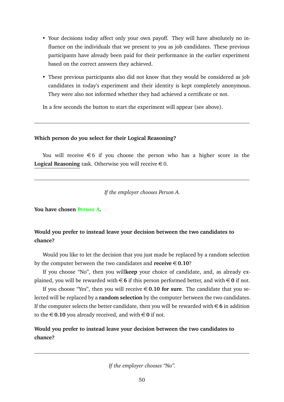- Your decisions today affect only your own payoff. They will have absolutely no influence on the individuals that we present to you as job candidates. These previous participants have already been paid for their performance in the earlier experiment based on the correct answers they achieved.
- These previous participants also did not know that they would be considered as job candidates in today's experiment and their identity is kept completely anonymous. They were also not informed whether they had achieved a certificate or not.

In a few seconds the button to start the experiment will appear (see above).

### **Which person do you select for their Logical Reasoning?**

You will receive  $\epsilon$ 6 if you choose the person who has a higher score in the **Logical Reasoning** task. Otherwise you will receive  $\in$  0.

*If the employer chooses Person A.*

**You have chosen Person A.**

## **Would you prefer to instead leave your decision between the two candidates to chance?**

Would you like to let the decision that you just made be replaced by a random selection by the computer between the two candidates and  $\text{receive} \in 0.10$ ?

If you choose "No", then you will**keep** your choice of candidate, and, as already explained, you will be rewarded with  $\in$  6 if this person performed better, and with  $\in$  0 if not.

If you choose "Yes", then you will receive €**0.10 for sure**. The candidate that you selected will be replaced by a **random selection** by the computer between the two candidates. If the computer selects the better candidate, then you will be rewarded with  $\in$  6 in addition to the  $\in$  0.10 you already received, and with  $\in$  0 if not.

## **Would you prefer to instead leave your decision between the two candidates to chance?**

*If the employer chooses "No".*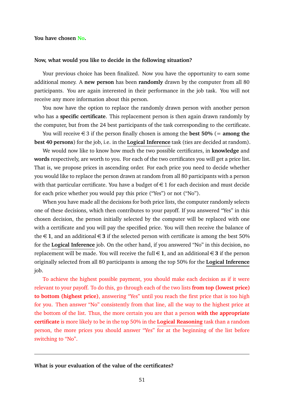#### **You have chosen No.**

#### **Now, what would you like to decide in the following situation?**

Your previous choice has been finalized. Now you have the opportunity to earn some additional money. A **new person** has been **randomly** drawn by the computer from all 80 participants. You are again interested in their performance in the job task. You will not receive any more information about this person.

You now have the option to replace the randomly drawn person with another person who has a **specific certificate**. This replacement person is then again drawn randomly by the computer, but from the 24 best participants of the task corresponding to the certificate.

You will receive  $\in$  3 if the person finally chosen is among the **best 50%** (= **among the best 40 persons**) for the job, i.e. in the **Logical Inference** task (ties are decided at random).

We would now like to know how much the two possible certificates, in **knowledge** and **words** respectively, are worth to you. For each of the two certificates you will get a price list. That is, we propose prices in ascending order. For each price you need to decide whether you would like to replace the person drawn at random from all 80 participants with a person with that particular certificate. You have a budget of  $\in$  1 for each decision and must decide for each price whether you would pay this price ("Yes") or not ("No").

When you have made all the decisions for both price lists, the computer randomly selects one of these decisions, which then contributes to your payoff. If you answered "Yes" in this chosen decision, the person initially selected by the computer will be replaced with one with a certificate and you will pay the specified price. You will then receive the balance of the  $\in$  1, and an additional  $\in$  3 if the selected person with certificate is among the best 50% for the **Logical Inference** job. On the other hand, if you answered "No" in this decision, no replacement will be made. You will receive the full  $\in$  1, and an additional  $\in$  3 if the person originally selected from all 80 participants is among the top 50% for the **Logical Inference** job.

To achieve the highest possible payment, you should make each decision as if it were relevant to your payoff. To do this, go through each of the two lists **from top (lowest price) to bottom (highest price)**, answering "Yes" until you reach the first price that is too high for you. Then answer "No" consistently from that line, all the way to the highest price at the bottom of the list. Thus, the more certain you are that a person **with the appropriate certificate** is more likely to be in the top 50% in the **Logical Reasoning** task than a random person, the more prices you should answer "Yes" for at the beginning of the list before switching to "No".

#### **What is your evaluation of the value of the certificates?**